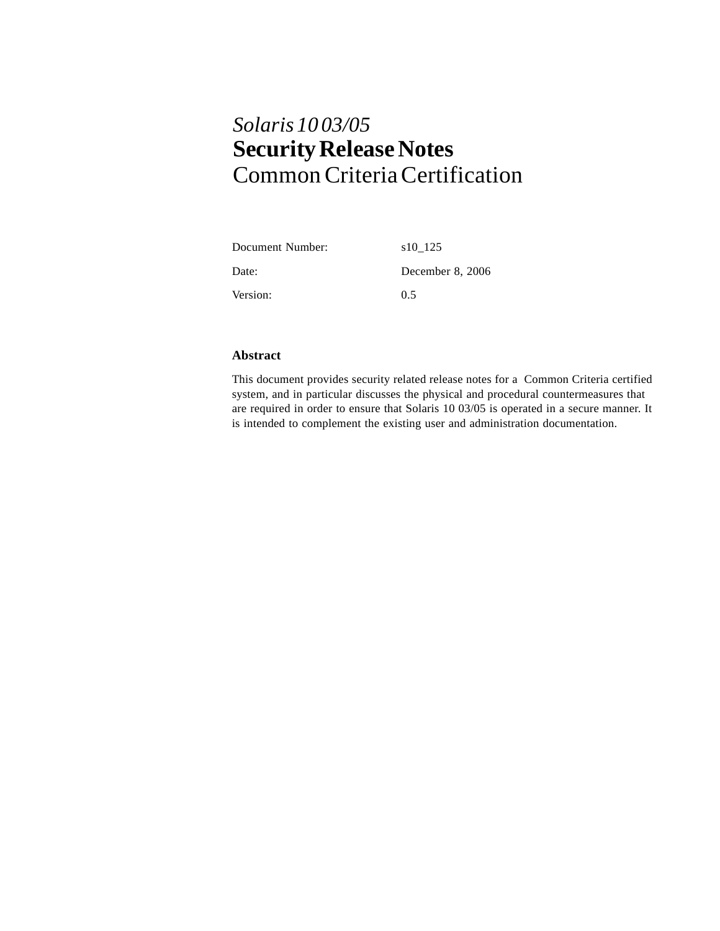# <span id="page-0-0"></span>*Solaris 10 03/05* **Security Release Notes** Common Criteria Certification

| Document Number: | s <sub>10</sub> 125 |  |  |
|------------------|---------------------|--|--|
| Date:            | December 8, 2006    |  |  |
| Version:         | 0.5                 |  |  |

#### **Abstract**

This document provides security related release notes for a Common Criteria certified system, and in particular discusses the physical and procedural countermeasures that are required in order to ensure that Solaris 10 03/05 is operated in a secure manner. It is intended to complement the existing user and administration documentation.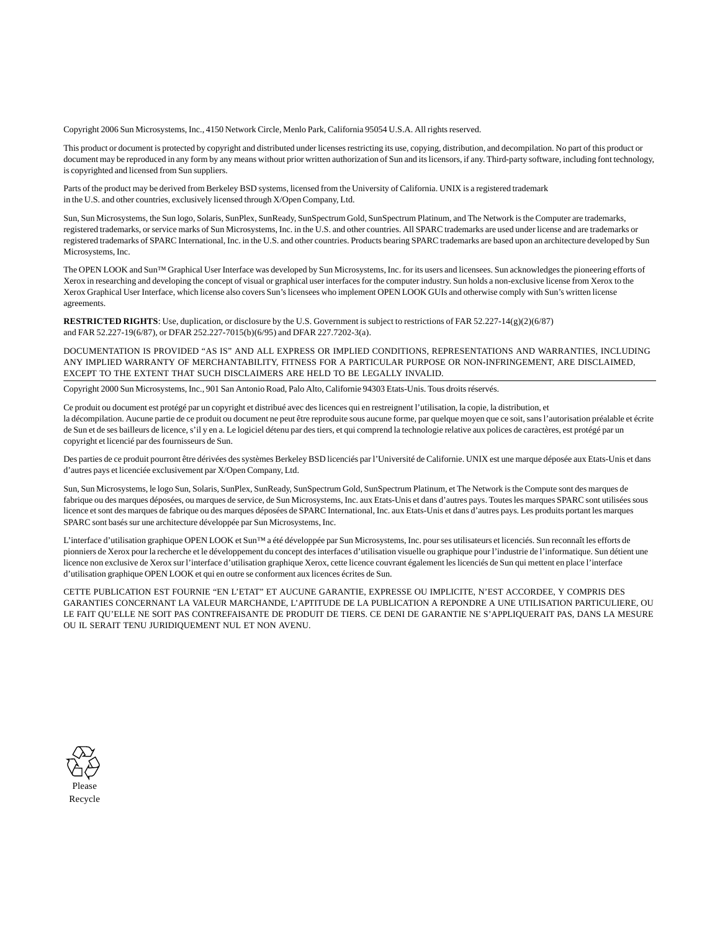Copyright 2006 Sun Microsystems, Inc., 4150 Network Circle, Menlo Park, California 95054 U.S.A. All rights reserved.

This product or document is protected by copyright and distributed under licenses restricting its use, copying, distribution, and decompilation. No part of this product or document may be reproduced in any form by any means without prior written authorization of Sun and its licensors, if any. Third-party software, including font technology, is copyrighted and licensed from Sun suppliers.

Parts of the product may be derived from Berkeley BSD systems, licensed from the University of California. UNIX is a registered trademark in the U.S. and other countries, exclusively licensed through X/Open Company, Ltd.

Sun, Sun Microsystems, the Sun logo, Solaris, SunPlex, SunReady, SunSpectrum Gold, SunSpectrum Platinum, and The Network is the Computer are trademarks, registered trademarks, or service marks of Sun Microsystems, Inc. in the U.S. and other countries. All SPARC trademarks are used under license and are trademarks or registered trademarks of SPARC International, Inc. in the U.S. and other countries. Products bearing SPARC trademarks are based upon an architecture developed by Sun Microsystems, Inc.

The OPEN LOOK and Sun™ Graphical User Interface was developed by Sun Microsystems, Inc. for its users and licensees. Sun acknowledges the pioneering efforts of Xerox in researching and developing the concept of visual or graphical user interfaces for the computer industry. Sun holds a non-exclusive license from Xerox to the Xerox Graphical User Interface, which license also covers Sun's licensees who implement OPEN LOOK GUIs and otherwise comply with Sun's written license agreements.

**RESTRICTED RIGHTS**: Use, duplication, or disclosure by the U.S. Government is subject to restrictions of FAR 52.227-14(g)(2)(6/87) and FAR 52.227-19(6/87), or DFAR 252.227-7015(b)(6/95) and DFAR 227.7202-3(a).

DOCUMENTATION IS PROVIDED "AS IS" AND ALL EXPRESS OR IMPLIED CONDITIONS, REPRESENTATIONS AND WARRANTIES, INCLUDING ANY IMPLIED WARRANTY OF MERCHANTABILITY, FITNESS FOR A PARTICULAR PURPOSE OR NON-INFRINGEMENT, ARE DISCLAIMED, EXCEPT TO THE EXTENT THAT SUCH DISCLAIMERS ARE HELD TO BE LEGALLY INVALID.

Copyright 2000 Sun Microsystems, Inc., 901 San Antonio Road, Palo Alto, Californie 94303 Etats-Unis. Tous droits réservés.

Ce produit ou document est protégé par un copyright et distribué avec des licences qui en restreignent l'utilisation, la copie, la distribution, et la décompilation. Aucune partie de ce produit ou document ne peut être reproduite sous aucune forme, par quelque moyen que ce soit, sans l'autorisation préalable et écrite de Sun et de ses bailleurs de licence, s'il y en a. Le logiciel détenu par des tiers, et qui comprend la technologie relative aux polices de caractères, est protégé par un copyright et licencié par des fournisseurs de Sun.

Des parties de ce produit pourront être dérivées des systèmes Berkeley BSD licenciés par l'Université de Californie. UNIX est une marque déposée aux Etats-Unis et dans d'autres pays et licenciée exclusivement par X/Open Company, Ltd.

Sun, Sun Microsystems, le logo Sun, Solaris, SunPlex, SunReady, SunSpectrum Gold, SunSpectrum Platinum, et The Network is the Compute sont des marques de fabrique ou des marques déposées, ou marques de service, de Sun Microsystems, Inc. aux Etats-Unis et dans d'autres pays. Toutes les marques SPARC sont utilisées sous licence et sont des marques de fabrique ou des marques déposées de SPARC International, Inc. aux Etats-Unis et dans d'autres pays. Les produits portant les marques SPARC sont basés sur une architecture développée par Sun Microsystems, Inc.

L'interface d'utilisation graphique OPEN LOOK et Sun™ a été développée par Sun Microsystems, Inc. pour ses utilisateurs et licenciés. Sun reconnaît les efforts de pionniers de Xerox pour la recherche et le développement du concept des interfaces d'utilisation visuelle ou graphique pour l'industrie de l'informatique. Sun détient une licence non exclusive de Xerox sur l'interface d'utilisation graphique Xerox, cette licence couvrant également les licenciés de Sun qui mettent en place l'interface d'utilisation graphique OPEN LOOK et qui en outre se conforment aux licences écrites de Sun.

CETTE PUBLICATION EST FOURNIE "EN L'ETAT" ET AUCUNE GARANTIE, EXPRESSE OU IMPLICITE, N'EST ACCORDEE, Y COMPRIS DES GARANTIES CONCERNANT LA VALEUR MARCHANDE, L'APTITUDE DE LA PUBLICATION A REPONDRE A UNE UTILISATION PARTICULIERE, OU LE FAIT QU'ELLE NE SOIT PAS CONTREFAISANTE DE PRODUIT DE TIERS. CE DENI DE GARANTIE NE S'APPLIQUERAIT PAS, DANS LA MESURE OU IL SERAIT TENU JURIDIQUEMENT NUL ET NON AVENU.

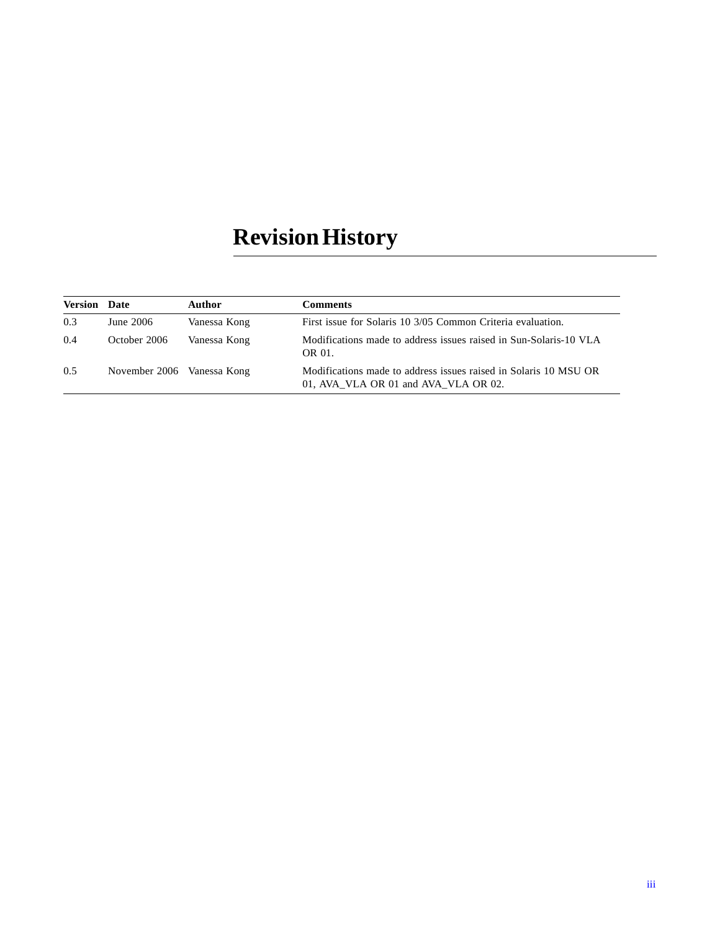# **Revision History**

| <b>Version Date</b> |                            | Author       | Comments                                                                                                 |
|---------------------|----------------------------|--------------|----------------------------------------------------------------------------------------------------------|
| 0.3                 | June $2006$                | Vanessa Kong | First issue for Solaris 10 3/05 Common Criteria evaluation.                                              |
| 0.4                 | October 2006               | Vanessa Kong | Modifications made to address issues raised in Sun-Solaris-10 VLA<br>OR 01.                              |
| 0.5                 | November 2006 Vanessa Kong |              | Modifications made to address issues raised in Solaris 10 MSU OR<br>01, AVA_VLA OR 01 and AVA_VLA OR 02. |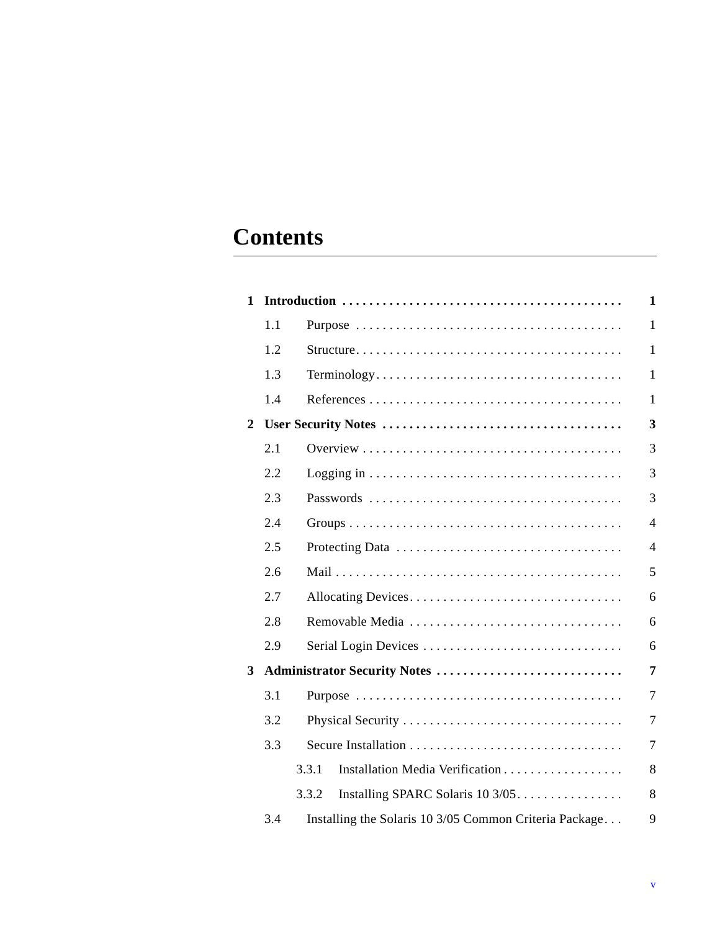# **Contents**

| 1              |     |                                                        | $\mathbf{1}$   |
|----------------|-----|--------------------------------------------------------|----------------|
|                | 1.1 |                                                        | $\mathbf{1}$   |
|                | 1.2 |                                                        | $\mathbf{1}$   |
|                | 1.3 |                                                        | 1              |
|                | 1.4 |                                                        | 1              |
| $\overline{2}$ |     |                                                        | 3              |
|                | 2.1 |                                                        | 3              |
|                | 2.2 |                                                        | $\overline{3}$ |
|                | 2.3 |                                                        | 3              |
|                | 2.4 |                                                        | $\overline{4}$ |
|                | 2.5 |                                                        | $\overline{4}$ |
|                | 2.6 |                                                        | 5              |
|                | 2.7 | Allocating Devices                                     | 6              |
|                | 2.8 | Removable Media                                        | 6              |
|                | 2.9 | Serial Login Devices                                   | 6              |
| 3              |     | Administrator Security Notes                           | 7              |
|                | 3.1 |                                                        | 7              |
|                | 3.2 |                                                        | $\overline{7}$ |
|                | 3.3 |                                                        | $\overline{7}$ |
|                |     | Installation Media Verification<br>3.3.1               | 8              |
|                |     | 3.3.2<br>Installing SPARC Solaris 10 3/05.             | 8              |
|                | 3.4 | Installing the Solaris 10 3/05 Common Criteria Package | 9              |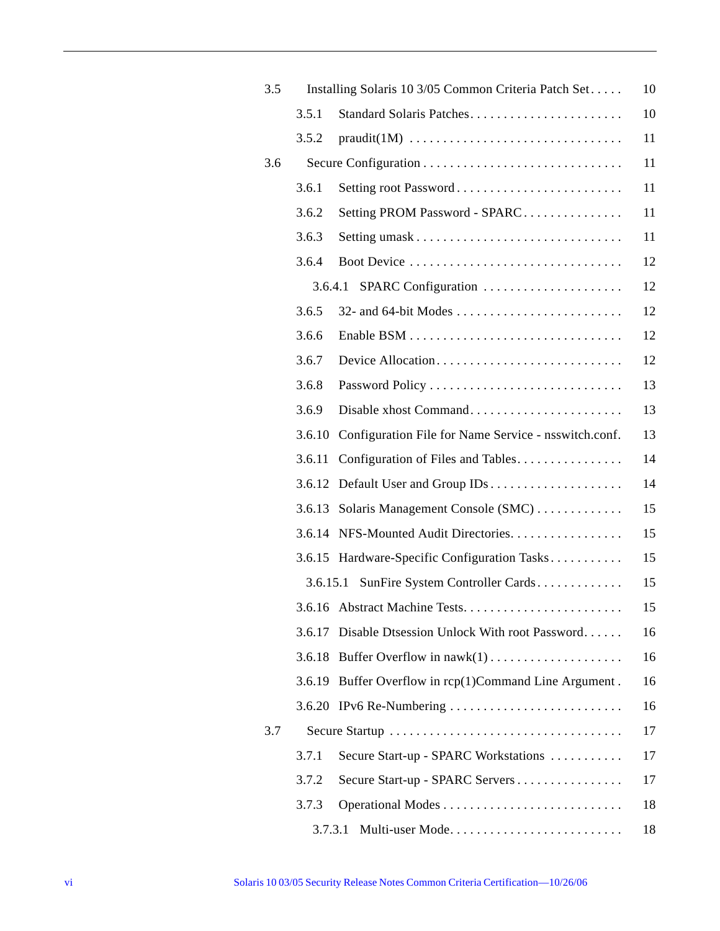| 3.5 |          | Installing Solaris 10 3/05 Common Criteria Patch Set | 10 |
|-----|----------|------------------------------------------------------|----|
|     | 3.5.1    | Standard Solaris Patches                             | 10 |
|     | 3.5.2    |                                                      | 11 |
| 3.6 |          |                                                      | 11 |
|     | 3.6.1    | Setting root Password                                | 11 |
|     | 3.6.2    | Setting PROM Password - SPARC                        | 11 |
|     | 3.6.3    |                                                      | 11 |
|     | 3.6.4    | Boot Device                                          | 12 |
|     | 3.6.4.1  | SPARC Configuration                                  | 12 |
|     | 3.6.5    |                                                      | 12 |
|     | 3.6.6    |                                                      | 12 |
|     | 3.6.7    | Device Allocation                                    | 12 |
|     | 3.6.8    | Password Policy                                      | 13 |
|     | 3.6.9    | Disable xhost Command                                | 13 |
|     | 3.6.10   | Configuration File for Name Service - nsswitch.conf. | 13 |
|     | 3.6.11   | Configuration of Files and Tables                    | 14 |
|     | 3.6.12   |                                                      | 14 |
|     | 3.6.13   | Solaris Management Console (SMC)                     | 15 |
|     | 3.6.14   | NFS-Mounted Audit Directories.                       | 15 |
|     | 3.6.15   | Hardware-Specific Configuration Tasks                | 15 |
|     | 3.6.15.1 | SunFire System Controller Cards                      | 15 |
|     |          |                                                      | 15 |
|     | 3.6.17   | Disable Dtsession Unlock With root Password          | 16 |
|     | 3.6.18   |                                                      | 16 |
|     | 3.6.19   | Buffer Overflow in rcp(1)Command Line Argument.      | 16 |
|     | 3.6.20   | IPv6 Re-Numbering                                    | 16 |
| 3.7 |          |                                                      | 17 |
|     | 3.7.1    | Secure Start-up - SPARC Workstations                 | 17 |
|     | 3.7.2    | Secure Start-up - SPARC Servers                      | 17 |
|     | 3.7.3    |                                                      | 18 |
|     | 3.7.3.1  | Multi-user Mode                                      | 18 |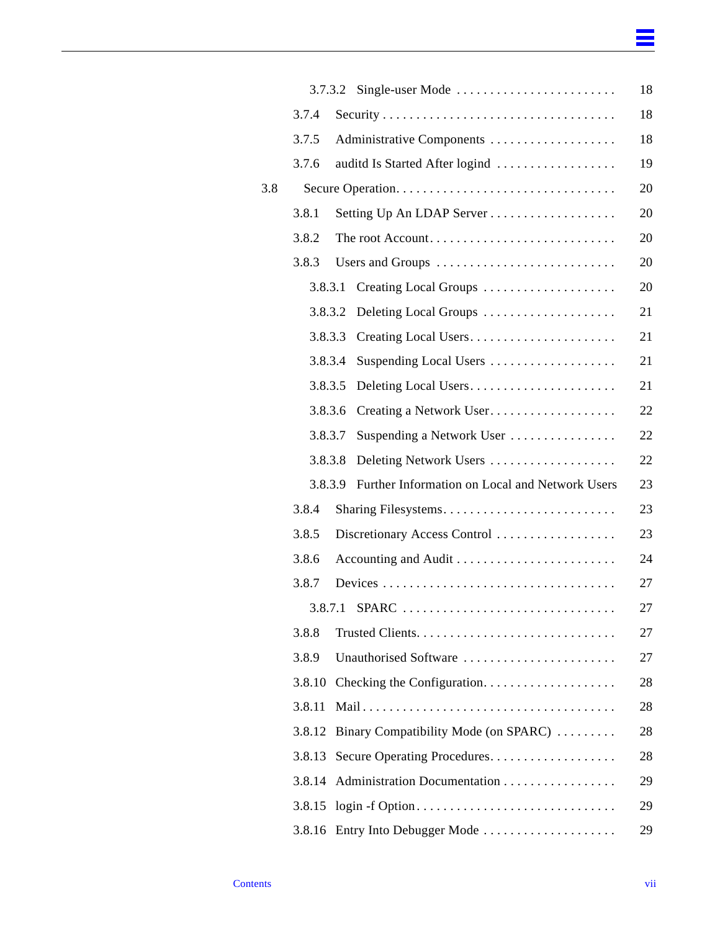# **Service**<br>Andrewski

|     |         |                                                | 18 |
|-----|---------|------------------------------------------------|----|
|     | 3.7.4   |                                                | 18 |
|     | 3.7.5   | Administrative Components                      | 18 |
|     | 3.7.6   | auditd Is Started After logind                 | 19 |
| 3.8 |         |                                                | 20 |
|     | 3.8.1   |                                                | 20 |
|     | 3.8.2   | The root Account                               | 20 |
|     | 3.8.3   | Users and Groups                               | 20 |
|     | 3.8.3.1 | Creating Local Groups                          | 20 |
|     | 3.8.3.2 | Deleting Local Groups                          | 21 |
|     | 3.8.3.3 | Creating Local Users                           | 21 |
|     | 3.8.3.4 | Suspending Local Users                         | 21 |
|     | 3.8.3.5 | Deleting Local Users                           | 21 |
|     | 3.8.3.6 | Creating a Network User                        | 22 |
|     | 3.8.3.7 | Suspending a Network User                      | 22 |
|     | 3.8.3.8 | Deleting Network Users                         | 22 |
|     | 3.8.3.9 | Further Information on Local and Network Users | 23 |
|     | 3.8.4   |                                                | 23 |
|     | 3.8.5   | Discretionary Access Control                   | 23 |
|     | 3.8.6   |                                                | 24 |
|     | 3.8.7   |                                                | 27 |
|     |         | 3.8.7.1 SPARC                                  | 27 |
|     | 3.8.8   |                                                | 27 |
|     | 3.8.9   | Unauthorised Software                          | 27 |
|     | 3.8.10  | Checking the Configuration                     | 28 |
|     | 3.8.11  |                                                | 28 |
|     | 3.8.12  | Binary Compatibility Mode (on SPARC)           | 28 |
|     | 3.8.13  | Secure Operating Procedures                    | 28 |
|     | 3.8.14  | Administration Documentation                   | 29 |
|     | 3.8.15  | login -f Option                                | 29 |
|     | 3.8.16  | Entry Into Debugger Mode                       | 29 |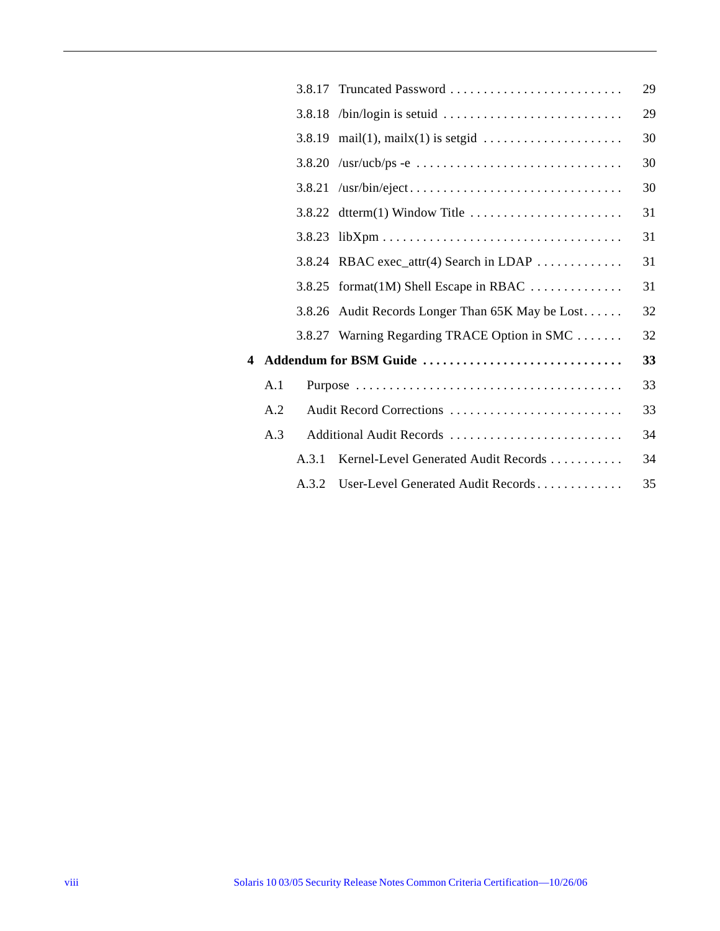|   |     | 3.8.17 |                                                                                | 29 |
|---|-----|--------|--------------------------------------------------------------------------------|----|
|   |     | 3.8.18 |                                                                                | 29 |
|   |     | 3.8.19 | mail(1), mail $x(1)$ is setgid                                                 | 30 |
|   |     | 3.8.20 |                                                                                | 30 |
|   |     | 3.8.21 |                                                                                | 30 |
|   |     |        |                                                                                | 31 |
|   |     | 3.8.23 | $libXpm \ldots \ldots \ldots \ldots \ldots \ldots \ldots \ldots \ldots \ldots$ | 31 |
|   |     |        | 3.8.24 RBAC exec_attr(4) Search in LDAP                                        | 31 |
|   |     |        | 3.8.25 format(1M) Shell Escape in RBAC                                         | 31 |
|   |     |        | 3.8.26 Audit Records Longer Than 65K May be Lost                               | 32 |
|   |     |        | 3.8.27 Warning Regarding TRACE Option in SMC                                   | 32 |
| 4 |     |        | Addendum for BSM Guide                                                         | 33 |
|   | A.1 |        |                                                                                | 33 |
|   | A.2 |        | Audit Record Corrections                                                       | 33 |
|   | A.3 |        | Additional Audit Records                                                       | 34 |
|   |     | A.3.1  | Kernel-Level Generated Audit Records                                           | 34 |
|   |     | A.3.2  | User-Level Generated Audit Records                                             | 35 |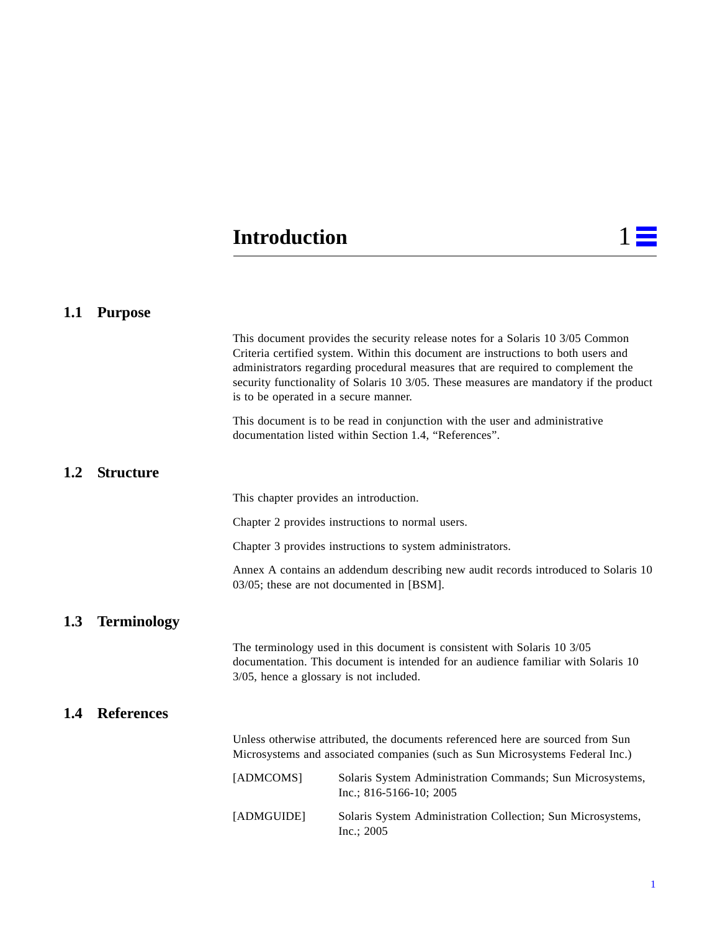# **Introduction** 1

## <span id="page-8-1"></span><span id="page-8-0"></span>**1.1 Purpose**

This document is to be read in conjunction with the user and administrative documentation listed within [Section 1.4, "References](#page-8-4)".

## <span id="page-8-2"></span>**1.2 Structure**

This chapter provides an introduction.

Chapter 2 provides instructions to normal users.

Chapter 3 provides instructions to system administrators.

Annex A contains an addendum describing new audit records introduced to Solaris 10 03/05; these are not documented in [BSM].

#### <span id="page-8-3"></span>**1.3 Terminology**

The terminology used in this document is consistent with Solaris 10 3/05 documentation. This document is intended for an audience familiar with Solaris 10 3/05, hence a glossary is not included.

## <span id="page-8-4"></span>**1.4 References**

Unless otherwise attributed, the documents referenced here are sourced from Sun Microsystems and associated companies (such as Sun Microsystems Federal Inc.)

| [ADMCOMS]  | Solaris System Administration Commands; Sun Microsystems,<br>Inc.: $816 - 5166 - 10$ : 2005 |
|------------|---------------------------------------------------------------------------------------------|
| [ADMGUIDE] | Solaris System Administration Collection; Sun Microsystems,<br>Inc.: 2005                   |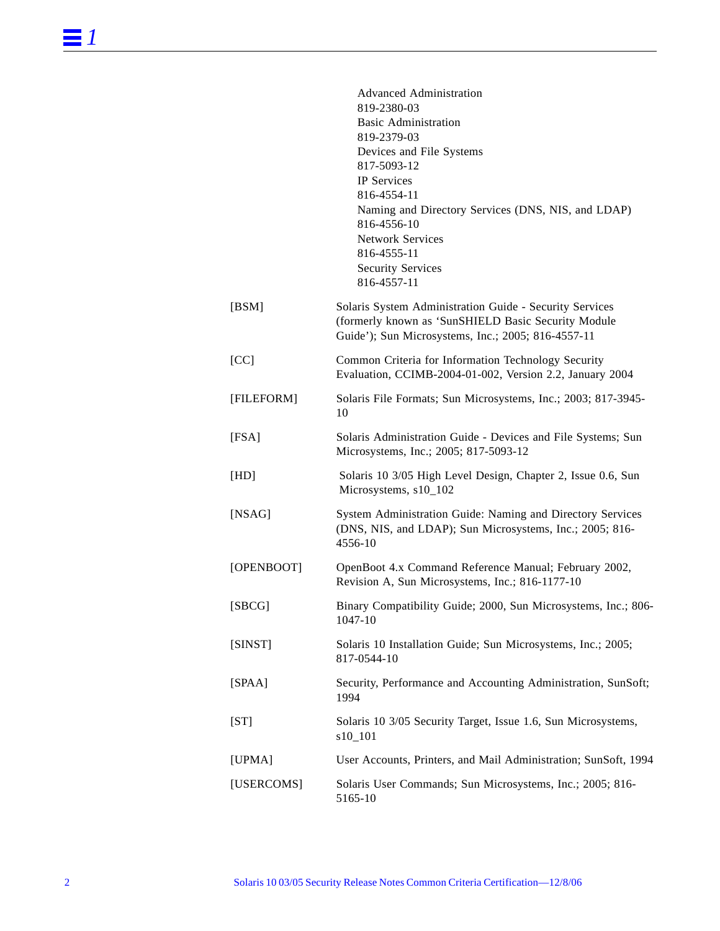|            | <b>Advanced Administration</b><br>819-2380-03<br><b>Basic Administration</b><br>819-2379-03<br>Devices and File Systems<br>817-5093-12<br><b>IP</b> Services<br>816-4554-11<br>Naming and Directory Services (DNS, NIS, and LDAP)<br>816-4556-10<br><b>Network Services</b><br>816-4555-11<br><b>Security Services</b><br>816-4557-11 |
|------------|---------------------------------------------------------------------------------------------------------------------------------------------------------------------------------------------------------------------------------------------------------------------------------------------------------------------------------------|
| [BSM]      | Solaris System Administration Guide - Security Services<br>(formerly known as 'SunSHIELD Basic Security Module<br>Guide'); Sun Microsystems, Inc.; 2005; 816-4557-11                                                                                                                                                                  |
| [CC]       | Common Criteria for Information Technology Security<br>Evaluation, CCIMB-2004-01-002, Version 2.2, January 2004                                                                                                                                                                                                                       |
| [FILEFORM] | Solaris File Formats; Sun Microsystems, Inc.; 2003; 817-3945-<br>10                                                                                                                                                                                                                                                                   |
| [FSA]      | Solaris Administration Guide - Devices and File Systems; Sun<br>Microsystems, Inc.; 2005; 817-5093-12                                                                                                                                                                                                                                 |
| [HD]       | Solaris 10 3/05 High Level Design, Chapter 2, Issue 0.6, Sun<br>Microsystems, s10_102                                                                                                                                                                                                                                                 |
| [NSAG]     | System Administration Guide: Naming and Directory Services<br>(DNS, NIS, and LDAP); Sun Microsystems, Inc.; 2005; 816-<br>4556-10                                                                                                                                                                                                     |
| [OPENBOOT] | OpenBoot 4.x Command Reference Manual; February 2002,<br>Revision A, Sun Microsystems, Inc.; 816-1177-10                                                                                                                                                                                                                              |
| [SBCG]     | Binary Compatibility Guide; 2000, Sun Microsystems, Inc.; 806-<br>1047-10                                                                                                                                                                                                                                                             |
| [SINST]    | Solaris 10 Installation Guide; Sun Microsystems, Inc.; 2005;<br>817-0544-10                                                                                                                                                                                                                                                           |
| [SPAA]     | Security, Performance and Accounting Administration, SunSoft;<br>1994                                                                                                                                                                                                                                                                 |
| [ST]       | Solaris 10 3/05 Security Target, Issue 1.6, Sun Microsystems,<br>$s10_101$                                                                                                                                                                                                                                                            |
| [UPMA]     | User Accounts, Printers, and Mail Administration; SunSoft, 1994                                                                                                                                                                                                                                                                       |
| [USERCOMS] | Solaris User Commands; Sun Microsystems, Inc.; 2005; 816-<br>5165-10                                                                                                                                                                                                                                                                  |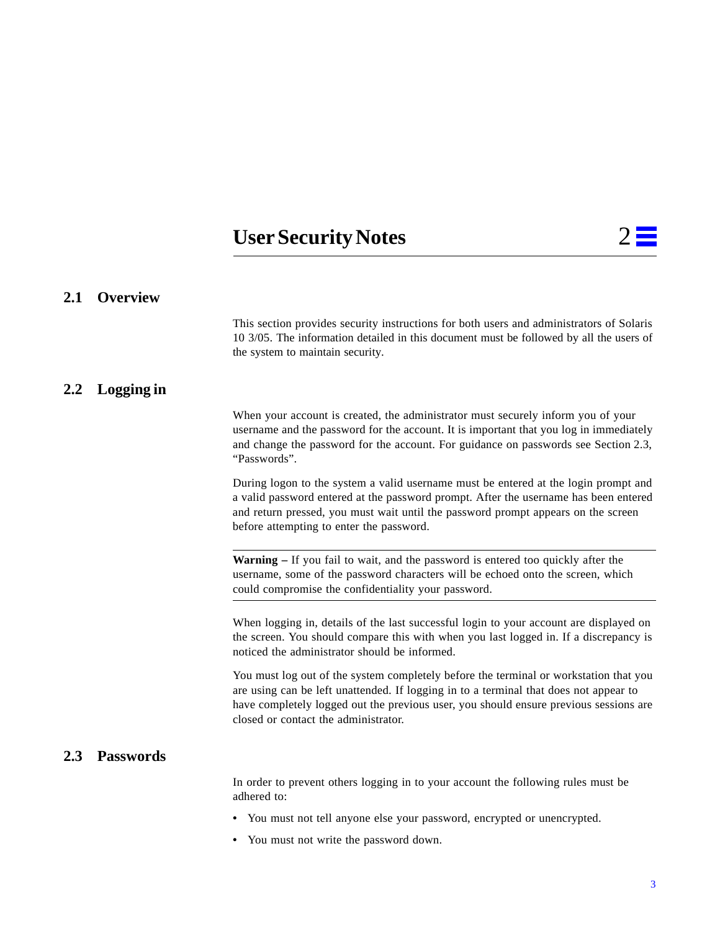# <span id="page-10-4"></span>**User Security Notes**

#### <span id="page-10-1"></span><span id="page-10-0"></span>**2.1 Overview**

This section provides security instructions for both users and administrators of Solaris 10 3/05. The information detailed in this document must be followed by all the users of the system to maintain security.

#### <span id="page-10-2"></span>**2.2 Logging in**

When your account is created, the administrator must securely inform you of your username and the password for the account. It is important that you log in immediately and change the password for the account. For guidance on passwords see [Section 2.3,](#page-10-3)  ["Passwords"](#page-10-3).

During logon to the system a valid username must be entered at the login prompt and a valid password entered at the password prompt. After the username has been entered and return pressed, you must wait until the password prompt appears on the screen before attempting to enter the password.

**Warning –** If you fail to wait, and the password is entered too quickly after the username, some of the password characters will be echoed onto the screen, which could compromise the confidentiality your password.

When logging in, details of the last successful login to your account are displayed on the screen. You should compare this with when you last logged in. If a discrepancy is noticed the administrator should be informed.

You must log out of the system completely before the terminal or workstation that you are using can be left unattended. If logging in to a terminal that does not appear to have completely logged out the previous user, you should ensure previous sessions are closed or contact the administrator.

## <span id="page-10-3"></span>**2.3 Passwords**

In order to prevent others logging in to your account the following rules must be adhered to:

- **•** You must not tell anyone else your password, encrypted or unencrypted.
- **•** You must not write the password down.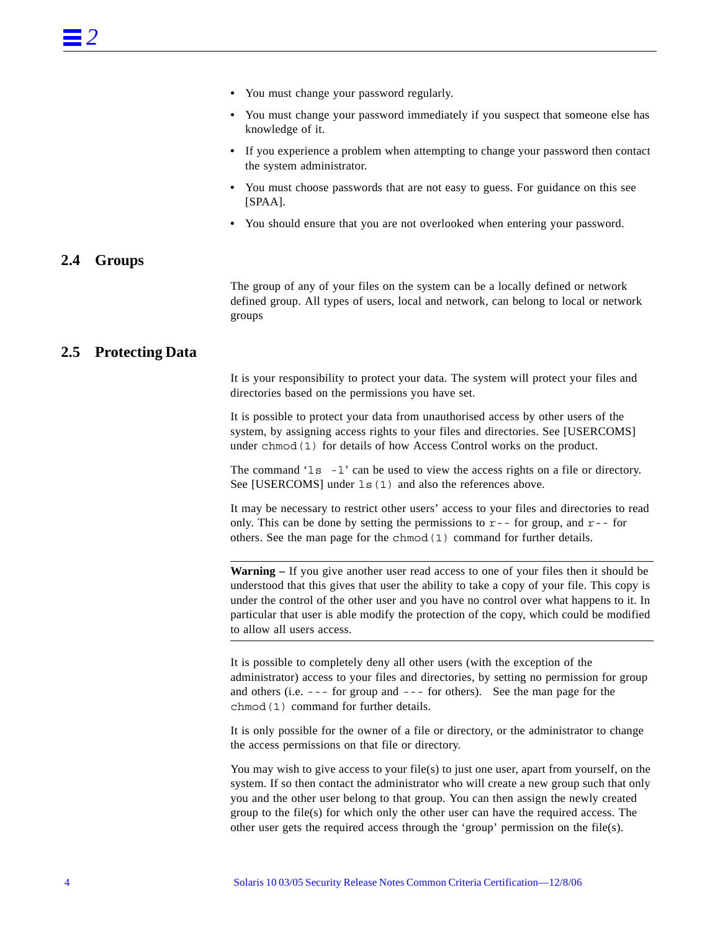- **•** You must change your password regularly.
- **•** You must change your password immediately if you suspect that someone else has knowledge of it.
- **•** If you experience a problem when attempting to change your password then contact the system administrator.
- **•** You must choose passwords that are not easy to guess. For guidance on this see [SPAA].
- **•** You should ensure that you are not overlooked when entering your password.

#### <span id="page-11-0"></span>**2.4 Groups**

The group of any of your files on the system can be a locally defined or network defined group. All types of users, local and network, can belong to local or network groups

#### <span id="page-11-1"></span>**2.5 Protecting Data**

It is your responsibility to protect your data. The system will protect your files and directories based on the permissions you have set.

It is possible to protect your data from unauthorised access by other users of the system, by assigning access rights to your files and directories. See [USERCOMS] under chmod(1) for details of how Access Control works on the product.

The command ' $1s - 1$ ' can be used to view the access rights on a file or directory. See [USERCOMS] under  $1s(1)$  and also the references above.

It may be necessary to restrict other users' access to your files and directories to read only. This can be done by setting the permissions to  $r-$ - for group, and  $r-$ - for others. See the man page for the chmod(1) command for further details.

**Warning –** If you give another user read access to one of your files then it should be understood that this gives that user the ability to take a copy of your file. This copy is under the control of the other user and you have no control over what happens to it. In particular that user is able modify the protection of the copy, which could be modified to allow all users access.

It is possible to completely deny all other users (with the exception of the administrator) access to your files and directories, by setting no permission for group and others (i.e. --- for group and --- for others). See the man page for the chmod(1) command for further details.

It is only possible for the owner of a file or directory, or the administrator to change the access permissions on that file or directory.

You may wish to give access to your file(s) to just one user, apart from yourself, on the system. If so then contact the administrator who will create a new group such that only you and the other user belong to that group. You can then assign the newly created group to the file(s) for which only the other user can have the required access. The other user gets the required access through the 'group' permission on the file(s).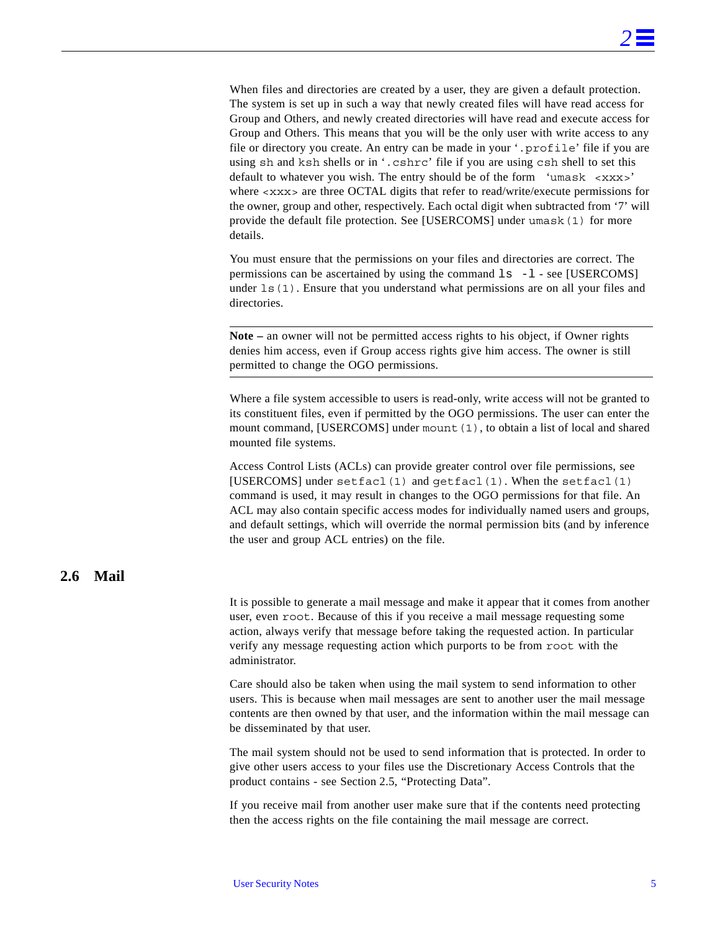When files and directories are created by a user, they are given a default protection. The system is set up in such a way that newly created files will have read access for Group and Others, and newly created directories will have read and execute access for Group and Others. This means that you will be the only user with write access to any file or directory you create. An entry can be made in your '.profile' file if you are using sh and ksh shells or in '.cshrc' file if you are using csh shell to set this default to whatever you wish. The entry should be of the form 'umask  $\langle$ xxx>' where <xxx> are three OCTAL digits that refer to read/write/execute permissions for the owner, group and other, respectively. Each octal digit when subtracted from '7' will provide the default file protection. See [USERCOMS] under umask(1) for more details.

You must ensure that the permissions on your files and directories are correct. The permissions can be ascertained by using the command  $\text{ls}$  -1 - see [USERCOMS] under  $ls(1)$ . Ensure that you understand what permissions are on all your files and directories.

**Note –** an owner will not be permitted access rights to his object, if Owner rights denies him access, even if Group access rights give him access. The owner is still permitted to change the OGO permissions.

Where a file system accessible to users is read-only, write access will not be granted to its constituent files, even if permitted by the OGO permissions. The user can enter the mount command, [USERCOMS] under mount (1), to obtain a list of local and shared mounted file systems.

Access Control Lists (ACLs) can provide greater control over file permissions, see [USERCOMS] under setfacl(1) and getfacl(1). When the setfacl(1) command is used, it may result in changes to the OGO permissions for that file. An ACL may also contain specific access modes for individually named users and groups, and default settings, which will override the normal permission bits (and by inference the user and group ACL entries) on the file.

#### <span id="page-12-0"></span>**2.6 Mail**

It is possible to generate a mail message and make it appear that it comes from another user, even root. Because of this if you receive a mail message requesting some action, always verify that message before taking the requested action. In particular verify any message requesting action which purports to be from root with the administrator.

Care should also be taken when using the mail system to send information to other users. This is because when mail messages are sent to another user the mail message contents are then owned by that user, and the information within the mail message can be disseminated by that user.

The mail system should not be used to send information that is protected. In order to give other users access to your files use the Discretionary Access Controls that the product contains - see [Section 2.5, "Protecting Data](#page-11-1)".

If you receive mail from another user make sure that if the contents need protecting then the access rights on the file containing the mail message are correct.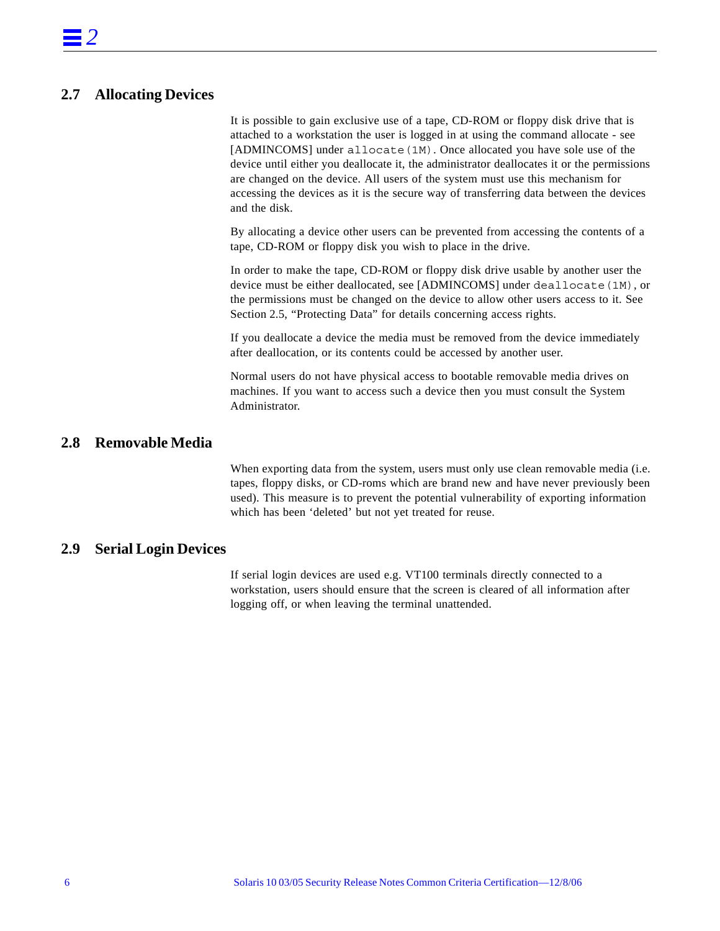#### <span id="page-13-0"></span>**2.7 Allocating Devices**

It is possible to gain exclusive use of a tape, CD-ROM or floppy disk drive that is attached to a workstation the user is logged in at using the command allocate - see [ADMINCOMS] under allocate(1M). Once allocated you have sole use of the device until either you deallocate it, the administrator deallocates it or the permissions are changed on the device. All users of the system must use this mechanism for accessing the devices as it is the secure way of transferring data between the devices and the disk.

By allocating a device other users can be prevented from accessing the contents of a tape, CD-ROM or floppy disk you wish to place in the drive.

In order to make the tape, CD-ROM or floppy disk drive usable by another user the device must be either deallocated, see [ADMINCOMS] under deallocate(1M), or the permissions must be changed on the device to allow other users access to it. See [Section 2.5, "Protecting Data"](#page-11-1) for details concerning access rights.

If you deallocate a device the media must be removed from the device immediately after deallocation, or its contents could be accessed by another user.

Normal users do not have physical access to bootable removable media drives on machines. If you want to access such a device then you must consult the System Administrator.

#### <span id="page-13-1"></span>**2.8 Removable Media**

When exporting data from the system, users must only use clean removable media (i.e. tapes, floppy disks, or CD-roms which are brand new and have never previously been used). This measure is to prevent the potential vulnerability of exporting information which has been 'deleted' but not yet treated for reuse.

#### <span id="page-13-2"></span>**2.9 Serial Login Devices**

If serial login devices are used e.g. VT100 terminals directly connected to a workstation, users should ensure that the screen is cleared of all information after logging off, or when leaving the terminal unattended.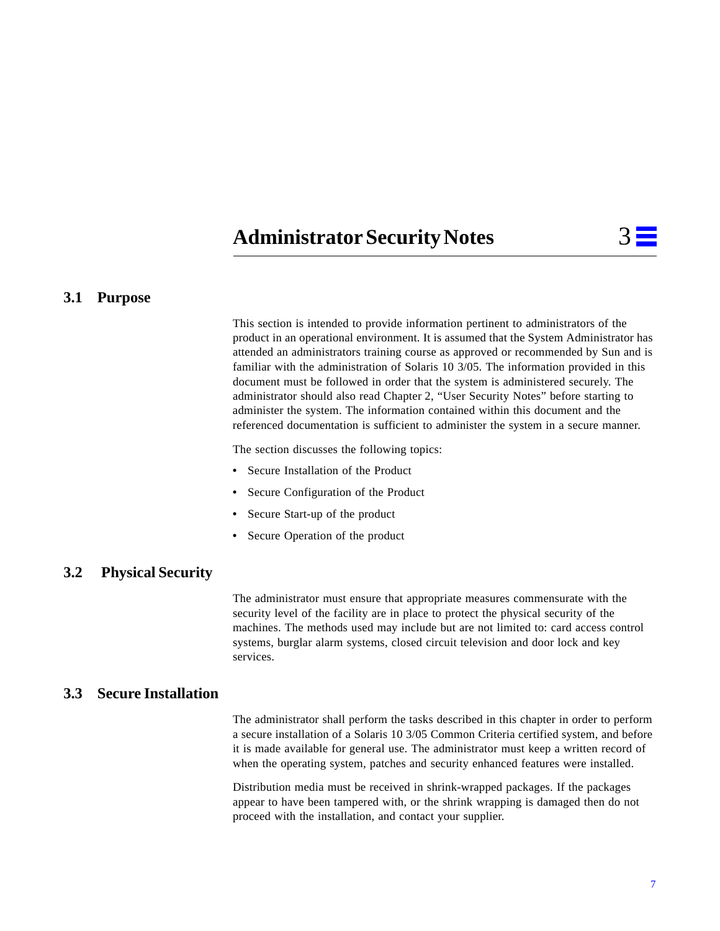# **Administrator Security Notes** 3

#### <span id="page-14-1"></span><span id="page-14-0"></span>**3.1 Purpose**

This section is intended to provide information pertinent to administrators of the product in an operational environment. It is assumed that the System Administrator has attended an administrators training course as approved or recommended by Sun and is familiar with the administration of Solaris 10 3/05. The information provided in this document must be followed in order that the system is administered securely. The administrator should also read [Chapter 2, "User Security Notes](#page-10-4)" before starting to administer the system. The information contained within this document and the referenced documentation is sufficient to administer the system in a secure manner.

The section discusses the following topics:

- **•** Secure Installation of the Product
- **•** Secure Configuration of the Product
- **•** Secure Start-up of the product
- **•** Secure Operation of the product

#### <span id="page-14-2"></span>**3.2 Physical Security**

The administrator must ensure that appropriate measures commensurate with the security level of the facility are in place to protect the physical security of the machines. The methods used may include but are not limited to: card access control systems, burglar alarm systems, closed circuit television and door lock and key services.

## <span id="page-14-3"></span>**3.3 Secure Installation**

The administrator shall perform the tasks described in this chapter in order to perform a secure installation of a Solaris 10 3/05 Common Criteria certified system, and before it is made available for general use. The administrator must keep a written record of when the operating system, patches and security enhanced features were installed.

Distribution media must be received in shrink-wrapped packages. If the packages appear to have been tampered with, or the shrink wrapping is damaged then do not proceed with the installation, and contact your supplier.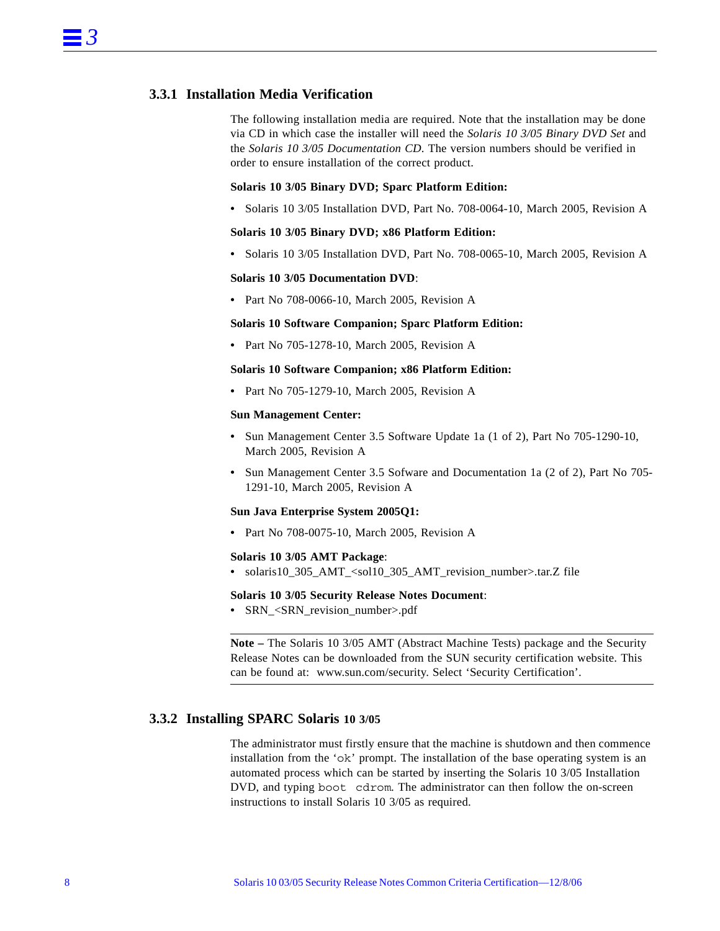#### <span id="page-15-0"></span>**3.3.1 Installation Media Verification**

The following installation media are required. Note that the installation may be done via CD in which case the installer will need the *Solaris 10 3/05 Binary DVD Set* and the *Solaris 10 3/05 Documentation CD*. The version numbers should be verified in order to ensure installation of the correct product.

#### **Solaris 10 3/05 Binary DVD; Sparc Platform Edition:**

**•** Solaris 10 3/05 Installation DVD, Part No. 708-0064-10, March 2005, Revision A

#### **Solaris 10 3/05 Binary DVD; x86 Platform Edition:**

**•** Solaris 10 3/05 Installation DVD, Part No. 708-0065-10, March 2005, Revision A

#### **Solaris 10 3/05 Documentation DVD**:

**•** Part No 708-0066-10, March 2005, Revision A

#### **Solaris 10 Software Companion; Sparc Platform Edition:**

**•** Part No 705-1278-10, March 2005, Revision A

#### **Solaris 10 Software Companion; x86 Platform Edition:**

**•** Part No 705-1279-10, March 2005, Revision A

#### **Sun Management Center:**

- **•** Sun Management Center 3.5 Software Update 1a (1 of 2), Part No 705-1290-10, March 2005, Revision A
- **•** Sun Management Center 3.5 Sofware and Documentation 1a (2 of 2), Part No 705- 1291-10, March 2005, Revision A

#### **Sun Java Enterprise System 2005Q1:**

**•** Part No 708-0075-10, March 2005, Revision A

#### **Solaris 10 3/05 AMT Package**:

**•** solaris10\_305\_AMT\_<sol10\_305\_AMT\_revision\_number>.tar.Z file

#### **Solaris 10 3/05 Security Release Notes Document**:

**•** SRN\_<SRN\_revision\_number>.pdf

**Note –** The Solaris 10 3/05 AMT (Abstract Machine Tests) package and the Security Release Notes can be downloaded from the SUN security certification website. This can be found at: www.sun.com/security. Select 'Security Certification'.

#### <span id="page-15-1"></span>**3.3.2 Installing SPARC Solaris 10 3/05**

The administrator must firstly ensure that the machine is shutdown and then commence installation from the 'ok' prompt. The installation of the base operating system is an automated process which can be started by inserting the Solaris 10 3/05 Installation DVD, and typing boot cdrom*.* The administrator can then follow the on-screen instructions to install Solaris 10 3/05 as required.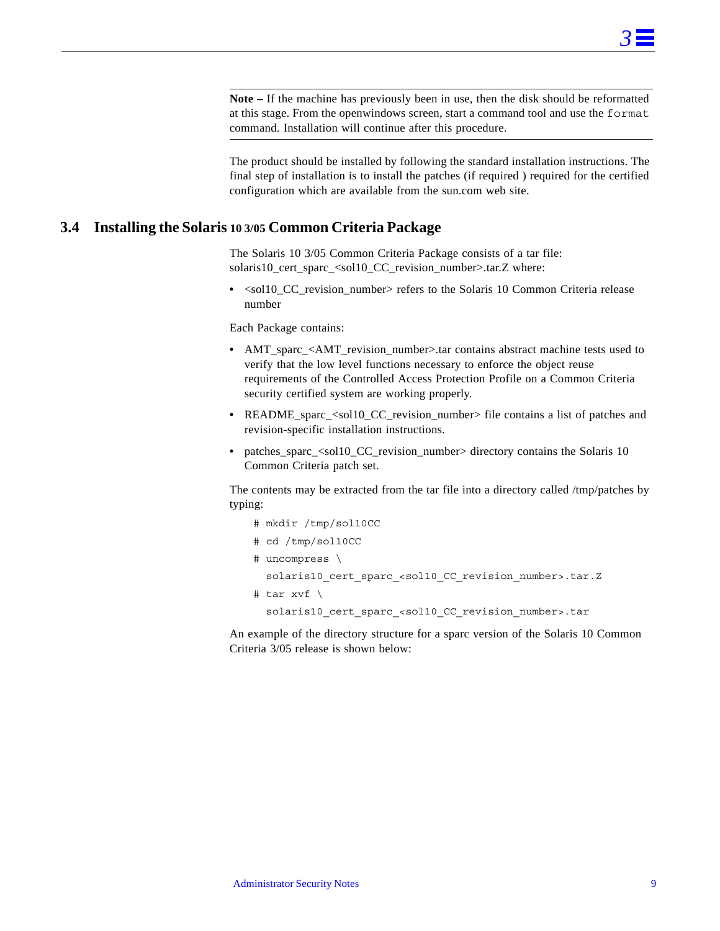**Note –** If the machine has previously been in use, then the disk should be reformatted at this stage. From the openwindows screen, start a command tool and use the format command. Installation will continue after this procedure.

The product should be installed by following the standard installation instructions. The final step of installation is to install the patches (if required ) required for the certified configuration which are available from the sun.com web site.

#### <span id="page-16-0"></span>**3.4 Installing the Solaris 10 3/05 Common Criteria Package**

The Solaris 10 3/05 Common Criteria Package consists of a tar file: solaris10\_cert\_sparc\_<sol10\_CC\_revision\_number>.tar.Z where:

**•** <sol10\_CC\_revision\_number> refers to the Solaris 10 Common Criteria release number

Each Package contains:

- AMT\_sparc\_<AMT\_revision\_number>.tar contains abstract machine tests used to verify that the low level functions necessary to enforce the object reuse requirements of the Controlled Access Protection Profile on a Common Criteria security certified system are working properly.
- README sparc <sol10 CC revision number> file contains a list of patches and revision-specific installation instructions.
- patches\_sparc\_<sol10\_CC\_revision\_number> directory contains the Solaris 10 Common Criteria patch set.

The contents may be extracted from the tar file into a directory called /tmp/patches by typing:

```
# mkdir /tmp/sol10CC
# cd /tmp/sol10CC
# uncompress \
  solaris10 cert sparc <sol10 CC revision number>.tar.Z
# tar xvf \ 
  solaris10 cert sparc <sol10 CC revision number>.tar
```
An example of the directory structure for a sparc version of the Solaris 10 Common Criteria 3/05 release is shown below: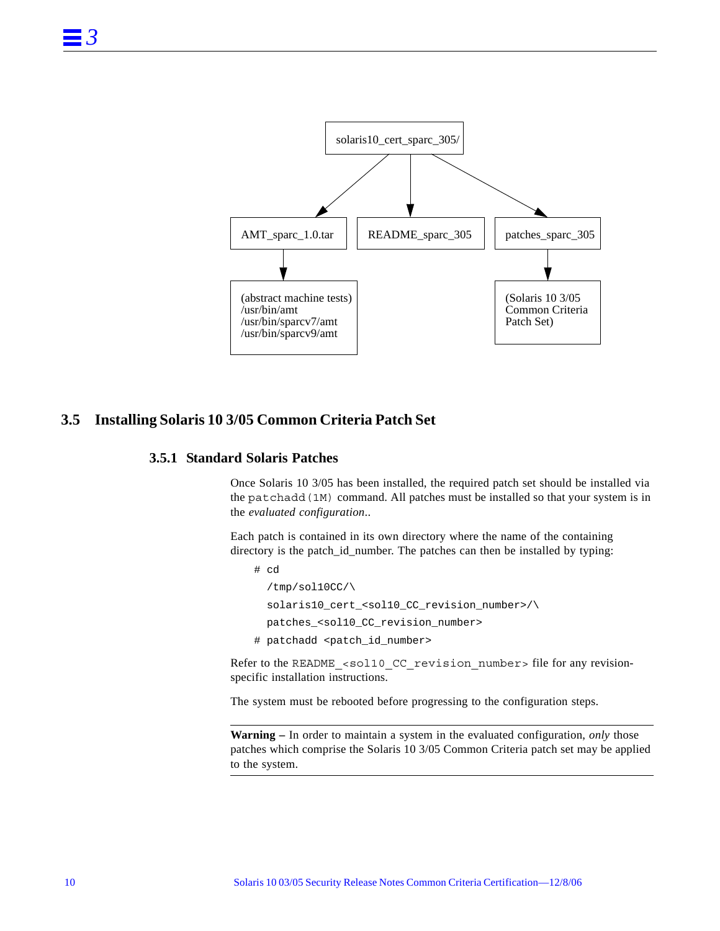

## <span id="page-17-1"></span><span id="page-17-0"></span>**3.5 Installing Solaris 10 3/05 Common Criteria Patch Set**

#### **3.5.1 Standard Solaris Patches**

Once Solaris 10 3/05 has been installed, the required patch set should be installed via the patchadd(1M) command. All patches must be installed so that your system is in the *evaluated configuration*..

Each patch is contained in its own directory where the name of the containing directory is the patch\_id\_number. The patches can then be installed by typing:

```
# cd 
  /\text{tmp/sol10CC}/\text{m} solaris10_cert_<sol10_CC_revision_number>/\
   patches_<sol10_CC_revision_number>
# patchadd <patch_id_number>
```
Refer to the README <sol10 CC revision number> file for any revisionspecific installation instructions.

The system must be rebooted before progressing to the configuration steps.

**Warning –** In order to maintain a system in the evaluated configuration, *only* those patches which comprise the Solaris 10 3/05 Common Criteria patch set may be applied to the system.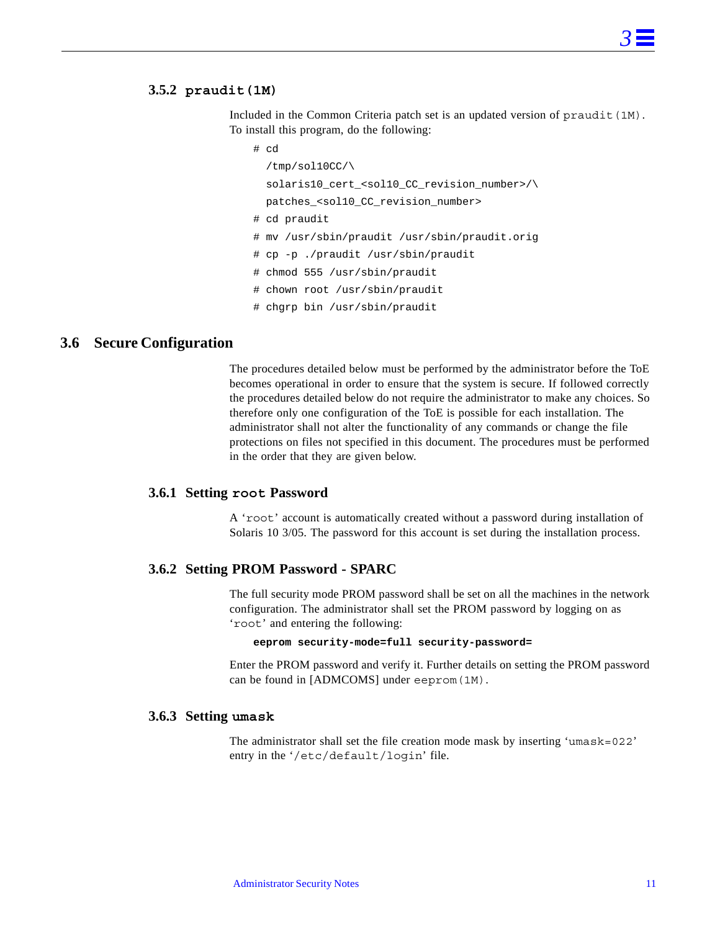#### <span id="page-18-0"></span>**3.5.2 praudit(1M)**

Included in the Common Criteria patch set is an updated version of  $praudit(1M)$ . To install this program, do the following:

```
# cd
```

```
 /tmp/sol10CC/\
   solaris10_cert_<sol10_CC_revision_number>/\
  patches_<sol10_CC_revision_number>
# cd praudit
# mv /usr/sbin/praudit /usr/sbin/praudit.orig
# cp -p ./praudit /usr/sbin/praudit
# chmod 555 /usr/sbin/praudit
# chown root /usr/sbin/praudit
# chgrp bin /usr/sbin/praudit
```
#### <span id="page-18-1"></span>**3.6 Secure Configuration**

The procedures detailed below must be performed by the administrator before the ToE becomes operational in order to ensure that the system is secure. If followed correctly the procedures detailed below do not require the administrator to make any choices. So therefore only one configuration of the ToE is possible for each installation. The administrator shall not alter the functionality of any commands or change the file protections on files not specified in this document. The procedures must be performed in the order that they are given below.

#### <span id="page-18-2"></span>**3.6.1 Setting root Password**

A 'root' account is automatically created without a password during installation of Solaris 10 3/05. The password for this account is set during the installation process.

#### <span id="page-18-3"></span>**3.6.2 Setting PROM Password - SPARC**

The full security mode PROM password shall be set on all the machines in the network configuration. The administrator shall set the PROM password by logging on as 'root' and entering the following:

**eeprom security-mode=full security-password=**

Enter the PROM password and verify it. Further details on setting the PROM password can be found in [ADMCOMS] under eeprom(1M).

#### <span id="page-18-4"></span>**3.6.3 Setting umask**

The administrator shall set the file creation mode mask by inserting 'umask=022' entry in the '/etc/default/login' file.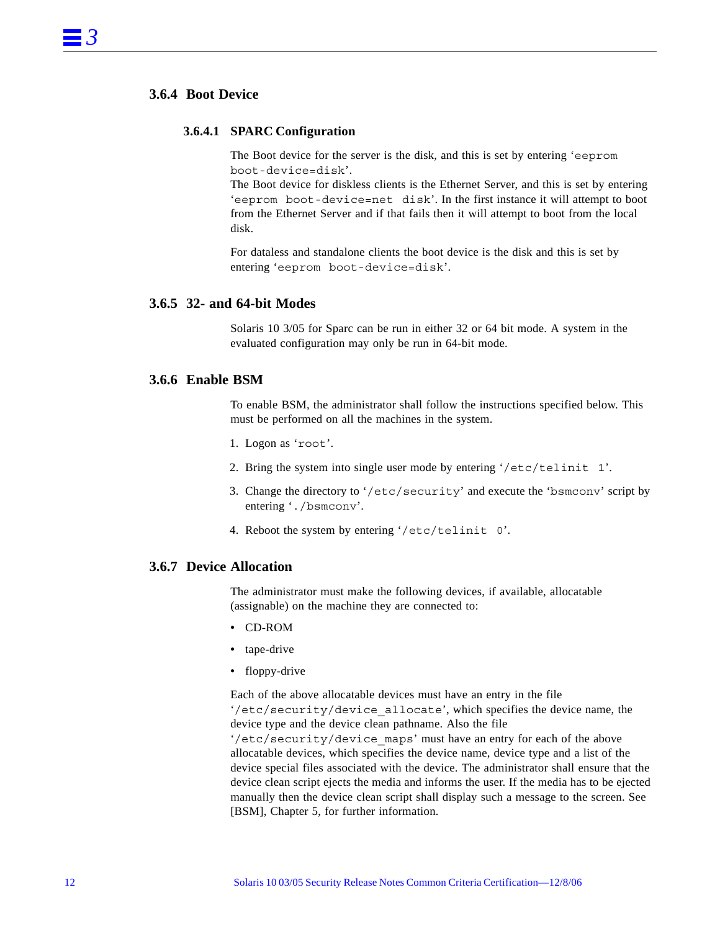#### <span id="page-19-1"></span>**3.6.4 Boot Device**

<span id="page-19-0"></span>*3*

#### **3.6.4.1 SPARC Configuration**

The Boot device for the server is the disk, and this is set by entering 'eeprom boot-device=disk'.

The Boot device for diskless clients is the Ethernet Server, and this is set by entering 'eeprom boot-device=net disk'. In the first instance it will attempt to boot from the Ethernet Server and if that fails then it will attempt to boot from the local disk.

For dataless and standalone clients the boot device is the disk and this is set by entering 'eeprom boot-device=disk'.

#### <span id="page-19-2"></span>**3.6.5 32- and 64-bit Modes**

Solaris 10 3/05 for Sparc can be run in either 32 or 64 bit mode. A system in the evaluated configuration may only be run in 64-bit mode.

#### <span id="page-19-3"></span>**3.6.6 Enable BSM**

To enable BSM, the administrator shall follow the instructions specified below. This must be performed on all the machines in the system.

- 1. Logon as 'root'.
- 2. Bring the system into single user mode by entering '/etc/telinit 1'.
- 3. Change the directory to '/etc/security' and execute the 'bsmconv' script by entering './bsmconv'.
- 4. Reboot the system by entering '/etc/telinit 0'.

#### <span id="page-19-4"></span>**3.6.7 Device Allocation**

The administrator must make the following devices, if available, allocatable (assignable) on the machine they are connected to:

- **•** CD-ROM
- **•** tape-drive
- **•** floppy-drive

Each of the above allocatable devices must have an entry in the file '/etc/security/device\_allocate', which specifies the device name, the device type and the device clean pathname. Also the file

'/etc/security/device\_maps' must have an entry for each of the above allocatable devices, which specifies the device name, device type and a list of the device special files associated with the device. The administrator shall ensure that the device clean script ejects the media and informs the user. If the media has to be ejected manually then the device clean script shall display such a message to the screen. See [BSM], Chapter 5, for further information.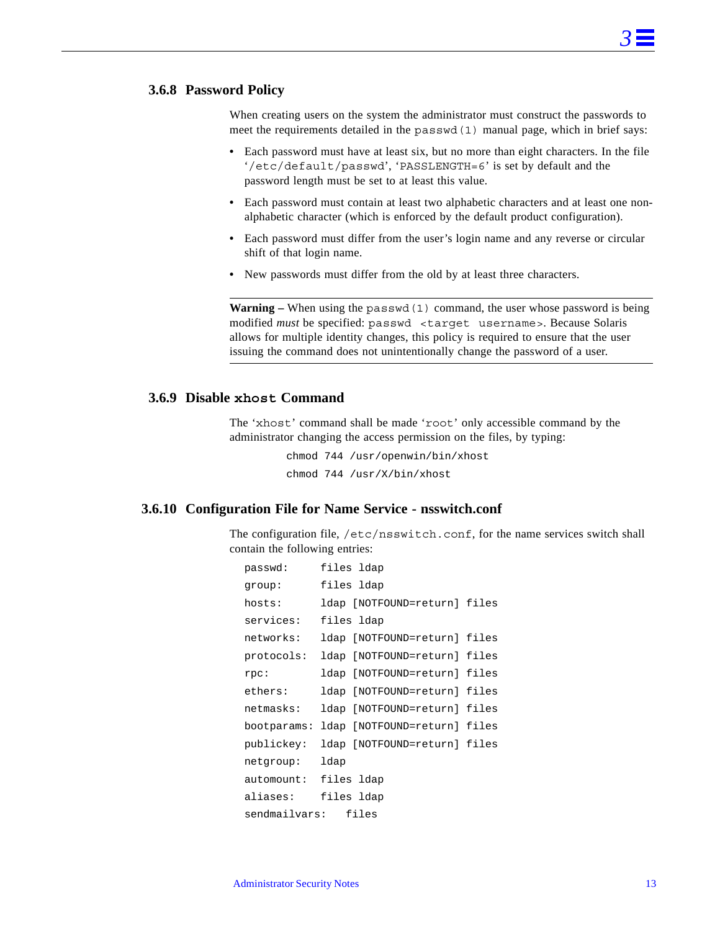#### <span id="page-20-0"></span>**3.6.8 Password Policy**

When creating users on the system the administrator must construct the passwords to meet the requirements detailed in the passwd(1) manual page, which in brief says:

- **•** Each password must have at least six, but no more than eight characters. In the file '/etc/default/passwd', 'PASSLENGTH=6' is set by default and the password length must be set to at least this value.
- **•** Each password must contain at least two alphabetic characters and at least one nonalphabetic character (which is enforced by the default product configuration).
- **•** Each password must differ from the user's login name and any reverse or circular shift of that login name.
- **•** New passwords must differ from the old by at least three characters.

**Warning – When using the passwd(1) command, the user whose password is being** modified *must* be specified: passwd <target username>. Because Solaris allows for multiple identity changes, this policy is required to ensure that the user issuing the command does not unintentionally change the password of a user.

#### <span id="page-20-1"></span>**3.6.9 Disable xhost Command**

The 'xhost' command shall be made 'root' only accessible command by the administrator changing the access permission on the files, by typing:

> chmod 744 /usr/openwin/bin/xhost chmod 744 /usr/X/bin/xhost

#### <span id="page-20-2"></span>**3.6.10 Configuration File for Name Service - nsswitch.conf**

The configuration file, /etc/nsswitch.conf, for the name services switch shall contain the following entries:

| passwd:                | files ldap                   |  |  |  |
|------------------------|------------------------------|--|--|--|
| qroup:                 | files ldap                   |  |  |  |
| hosts:                 | ldap [NOTFOUND=return] files |  |  |  |
| services:              | files ldap                   |  |  |  |
| networks:              | ldap [NOTFOUND=return] files |  |  |  |
| protocols:             | ldap [NOTFOUND=return] files |  |  |  |
| rpc:                   | ldap [NOTFOUND=return] files |  |  |  |
| ethers:                | ldap [NOTFOUND=return] files |  |  |  |
| netmasks:              | ldap [NOTFOUND=return] files |  |  |  |
| bootparams:            | ldap [NOTFOUND=return] files |  |  |  |
| publickey:             | ldap [NOTFOUND=return] files |  |  |  |
| netgroup:              | ldap                         |  |  |  |
| automount:             | files ldap                   |  |  |  |
| aliases:               | files ldap                   |  |  |  |
| sendmailvars:<br>files |                              |  |  |  |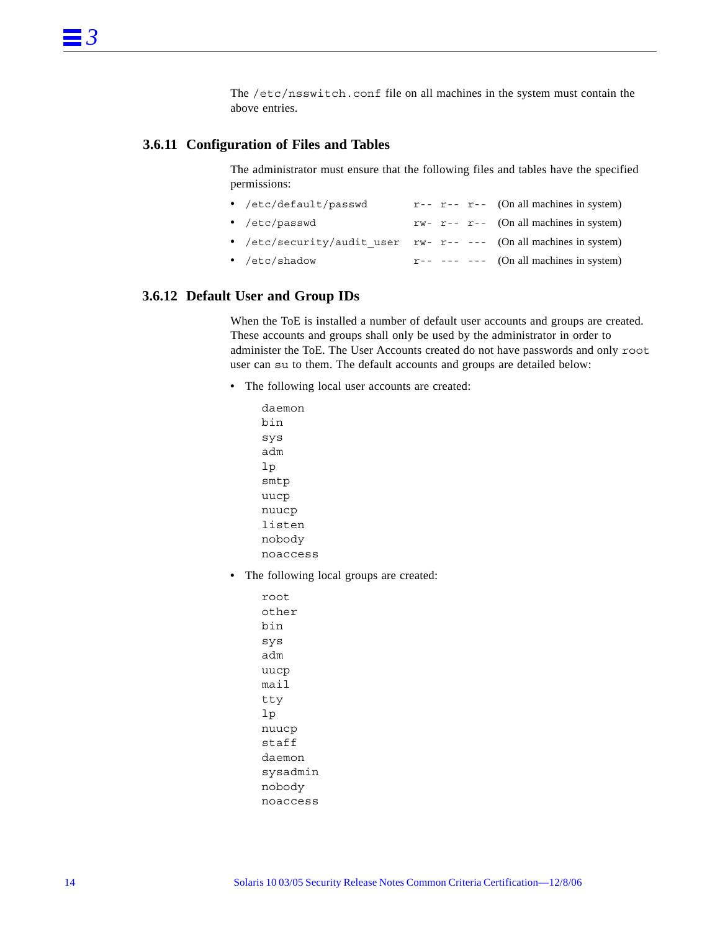The /etc/nsswitch.conf file on all machines in the system must contain the above entries.

#### <span id="page-21-0"></span>**3.6.11 Configuration of Files and Tables**

The administrator must ensure that the following files and tables have the specified permissions:

| • /etc/default/passwd                                                 |  | $r$ -- $r$ -- $r$ -- (On all machines in system) |
|-----------------------------------------------------------------------|--|--------------------------------------------------|
| • $/etc/passwd$                                                       |  | $rw - r - r -$ (On all machines in system)       |
| • /etc/security/audit user $rw - r - - - (On all machines in system)$ |  |                                                  |
| • $/etc/shadow$                                                       |  | $r$ -- --- --- (On all machines in system)       |

#### <span id="page-21-1"></span>**3.6.12 Default User and Group IDs**

When the ToE is installed a number of default user accounts and groups are created. These accounts and groups shall only be used by the administrator in order to administer the ToE. The User Accounts created do not have passwords and only root user can su to them. The default accounts and groups are detailed below:

- **•** The following local user accounts are created:
	- daemon bin sys adm lp smtp uucp nuucp listen nobody noaccess
- **•** The following local groups are created:
	- root other bin sys adm uucp mail tty lp nuucp staff daemon sysadmin nobody noaccess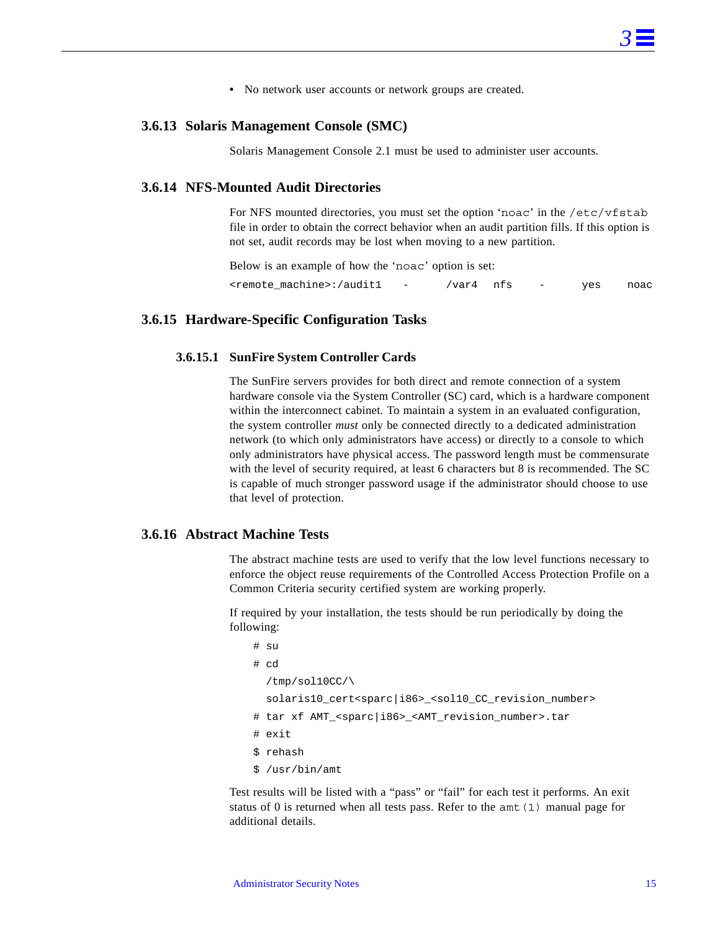**•** No network user accounts or network groups are created.

#### <span id="page-22-0"></span>**3.6.13 Solaris Management Console (SMC)**

Solaris Management Console 2.1 must be used to administer user accounts.

#### <span id="page-22-1"></span>**3.6.14 NFS-Mounted Audit Directories**

For NFS mounted directories, you must set the option 'noac' in the /etc/vfstab file in order to obtain the correct behavior when an audit partition fills. If this option is not set, audit records may be lost when moving to a new partition.

Below is an example of how the 'noac' option is set:

<remote\_machine>:/audit1 - /var4 nfs - yes noac

#### <span id="page-22-3"></span><span id="page-22-2"></span>**3.6.15 Hardware-Specific Configuration Tasks**

#### **3.6.15.1 SunFire System Controller Cards**

The SunFire servers provides for both direct and remote connection of a system hardware console via the System Controller (SC) card, which is a hardware component within the interconnect cabinet. To maintain a system in an evaluated configuration, the system controller *must* only be connected directly to a dedicated administration network (to which only administrators have access) or directly to a console to which only administrators have physical access. The password length must be commensurate with the level of security required, at least 6 characters but 8 is recommended. The SC is capable of much stronger password usage if the administrator should choose to use that level of protection.

#### <span id="page-22-4"></span>**3.6.16 Abstract Machine Tests**

The abstract machine tests are used to verify that the low level functions necessary to enforce the object reuse requirements of the Controlled Access Protection Profile on a Common Criteria security certified system are working properly.

If required by your installation, the tests should be run periodically by doing the following:

```
# su
# cd 
   /tmp/sol10CC/\
   solaris10_cert<sparc|i86>_<sol10_CC_revision_number>
# tar xf AMT_<sparc|i86>_<AMT_revision_number>.tar
# exit
$ rehash
$ /usr/bin/amt
```
Test results will be listed with a "pass" or "fail" for each test it performs. An exit status of 0 is returned when all tests pass. Refer to the amt(1) manual page for additional details.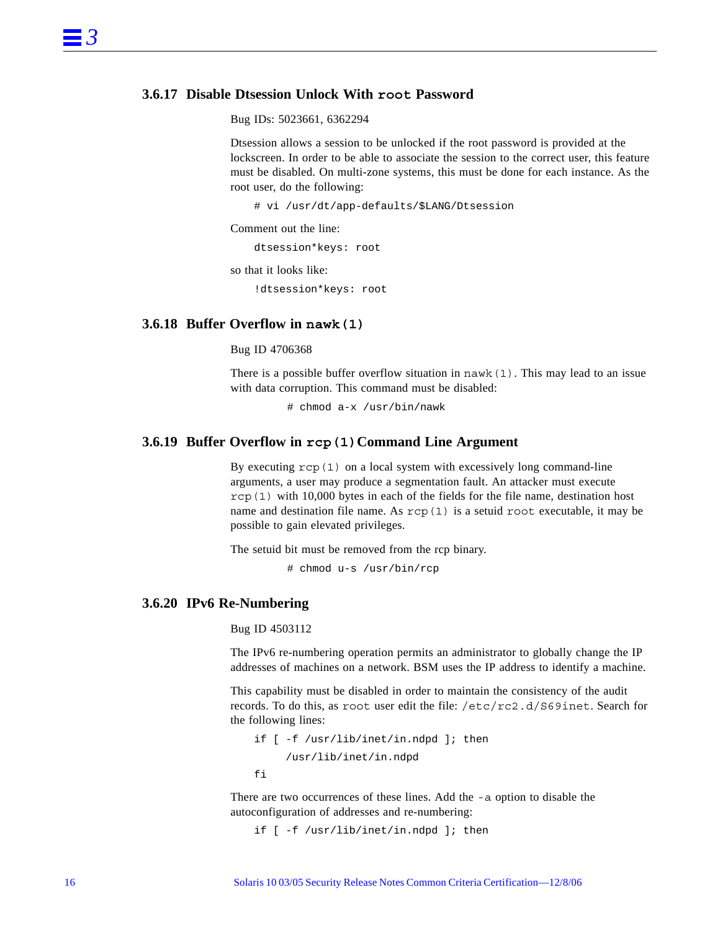#### <span id="page-23-0"></span>**3.6.17 Disable Dtsession Unlock With root Password**

Bug IDs: 5023661, 6362294

Dtsession allows a session to be unlocked if the root password is provided at the lockscreen. In order to be able to associate the session to the correct user, this feature must be disabled. On multi-zone systems, this must be done for each instance. As the root user, do the following:

# vi /usr/dt/app-defaults/\$LANG/Dtsession

Comment out the line:

dtsession\*keys: root

so that it looks like:

!dtsession\*keys: root

#### <span id="page-23-1"></span>**3.6.18 Buffer Overflow in nawk(1)**

Bug ID 4706368

There is a possible buffer overflow situation in nawk(1). This may lead to an issue with data corruption. This command must be disabled:

# chmod a-x /usr/bin/nawk

#### <span id="page-23-2"></span>**3.6.19 Buffer Overflow in rcp(1)Command Line Argument**

By executing  $r \text{cp}(1)$  on a local system with excessively long command-line arguments, a user may produce a segmentation fault. An attacker must execute  $rcp(1)$  with 10,000 bytes in each of the fields for the file name, destination host name and destination file name. As  $rcp(1)$  is a setuid root executable, it may be possible to gain elevated privileges.

The setuid bit must be removed from the rcp binary.

# chmod u-s /usr/bin/rcp

#### <span id="page-23-3"></span>**3.6.20 IPv6 Re-Numbering**

Bug ID 4503112

The IPv6 re-numbering operation permits an administrator to globally change the IP addresses of machines on a network. BSM uses the IP address to identify a machine.

This capability must be disabled in order to maintain the consistency of the audit records. To do this, as root user edit the file: /etc/rc2.d/S69inet. Search for the following lines:

if [ -f /usr/lib/inet/in.ndpd ]; then /usr/lib/inet/in.ndpd fi

There are two occurrences of these lines. Add the -a option to disable the autoconfiguration of addresses and re-numbering:

if [ -f /usr/lib/inet/in.ndpd ]; then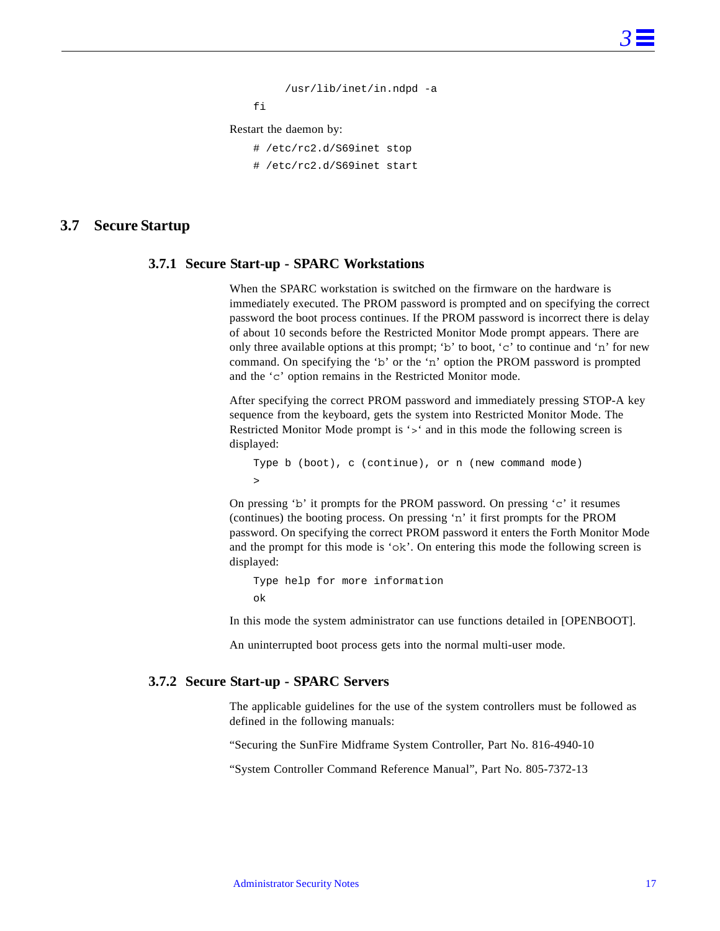/usr/lib/inet/in.ndpd -a

fi

Restart the daemon by:

```
# /etc/rc2.d/S69inet stop
```

```
# /etc/rc2.d/S69inet start
```
#### <span id="page-24-1"></span><span id="page-24-0"></span>**3.7 Secure Startup**

#### **3.7.1 Secure Start-up - SPARC Workstations**

When the SPARC workstation is switched on the firmware on the hardware is immediately executed. The PROM password is prompted and on specifying the correct password the boot process continues. If the PROM password is incorrect there is delay of about 10 seconds before the Restricted Monitor Mode prompt appears. There are only three available options at this prompt; 'b' to boot, 'c' to continue and 'n' for new command. On specifying the 'b' or the 'n' option the PROM password is prompted and the 'c' option remains in the Restricted Monitor mode.

After specifying the correct PROM password and immediately pressing STOP-A key sequence from the keyboard, gets the system into Restricted Monitor Mode. The Restricted Monitor Mode prompt is '>' and in this mode the following screen is displayed:

```
Type b (boot), c (continue), or n (new command mode)
>
```
On pressing 'b' it prompts for the PROM password. On pressing 'c' it resumes (continues) the booting process. On pressing 'n' it first prompts for the PROM password. On specifying the correct PROM password it enters the Forth Monitor Mode and the prompt for this mode is ' $\circ$ k'. On entering this mode the following screen is displayed:

```
Type help for more information
ok
```
In this mode the system administrator can use functions detailed in [OPENBOOT].

An uninterrupted boot process gets into the normal multi-user mode.

#### <span id="page-24-2"></span>**3.7.2 Secure Start-up - SPARC Servers**

The applicable guidelines for the use of the system controllers must be followed as defined in the following manuals:

"Securing the SunFire Midframe System Controller, Part No. 816-4940-10

"System Controller Command Reference Manual", Part No. 805-7372-13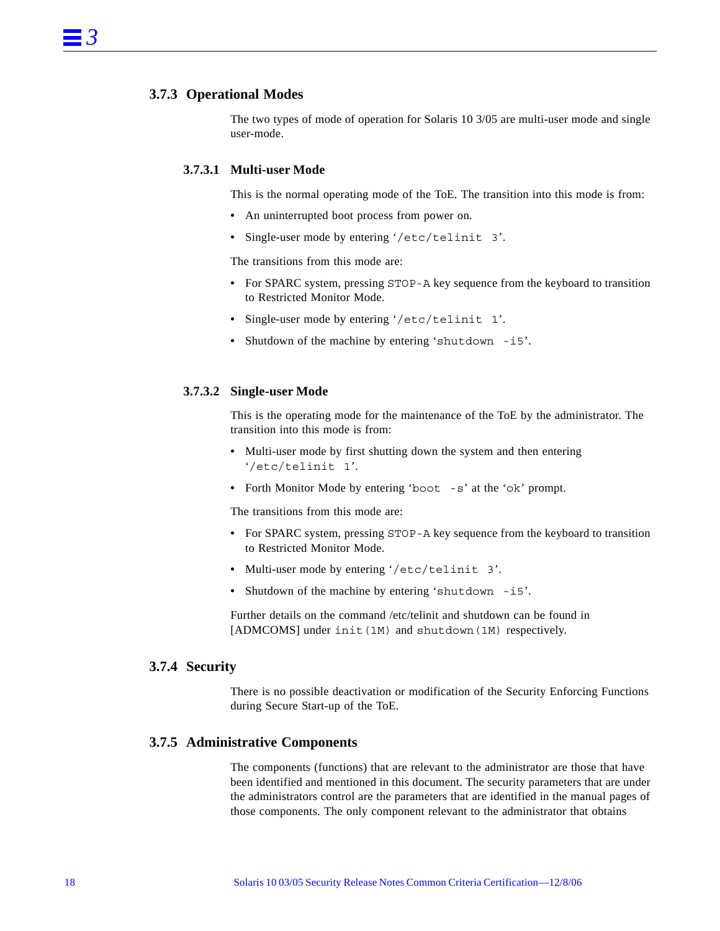#### <span id="page-25-1"></span><span id="page-25-0"></span>**3.7.3 Operational Modes**

The two types of mode of operation for Solaris 10 3/05 are multi-user mode and single user-mode.

#### **3.7.3.1 Multi-user Mode**

This is the normal operating mode of the ToE. The transition into this mode is from:

- **•** An uninterrupted boot process from power on.
- **•** Single-user mode by entering '/etc/telinit 3'.

The transitions from this mode are:

- **•** For SPARC system, pressing STOP-A key sequence from the keyboard to transition to Restricted Monitor Mode.
- **•** Single-user mode by entering '/etc/telinit 1'.
- Shutdown of the machine by entering 'shutdown -i5'.

#### <span id="page-25-2"></span>**3.7.3.2 Single-user Mode**

This is the operating mode for the maintenance of the ToE by the administrator. The transition into this mode is from:

- **•** Multi-user mode by first shutting down the system and then entering '/etc/telinit 1'.
- **•** Forth Monitor Mode by entering 'boot -s' at the 'ok' prompt.

The transitions from this mode are:

- **•** For SPARC system, pressing STOP-A key sequence from the keyboard to transition to Restricted Monitor Mode.
- **•** Multi-user mode by entering '/etc/telinit 3'.
- Shutdown of the machine by entering 'shutdown -i5'.

Further details on the command /etc/telinit and shutdown can be found in [ADMCOMS] under init(1M) and shutdown(1M) respectively.

#### <span id="page-25-3"></span>**3.7.4 Security**

There is no possible deactivation or modification of the Security Enforcing Functions during Secure Start-up of the ToE.

#### <span id="page-25-4"></span>**3.7.5 Administrative Components**

The components (functions) that are relevant to the administrator are those that have been identified and mentioned in this document. The security parameters that are under the administrators control are the parameters that are identified in the manual pages of those components. The only component relevant to the administrator that obtains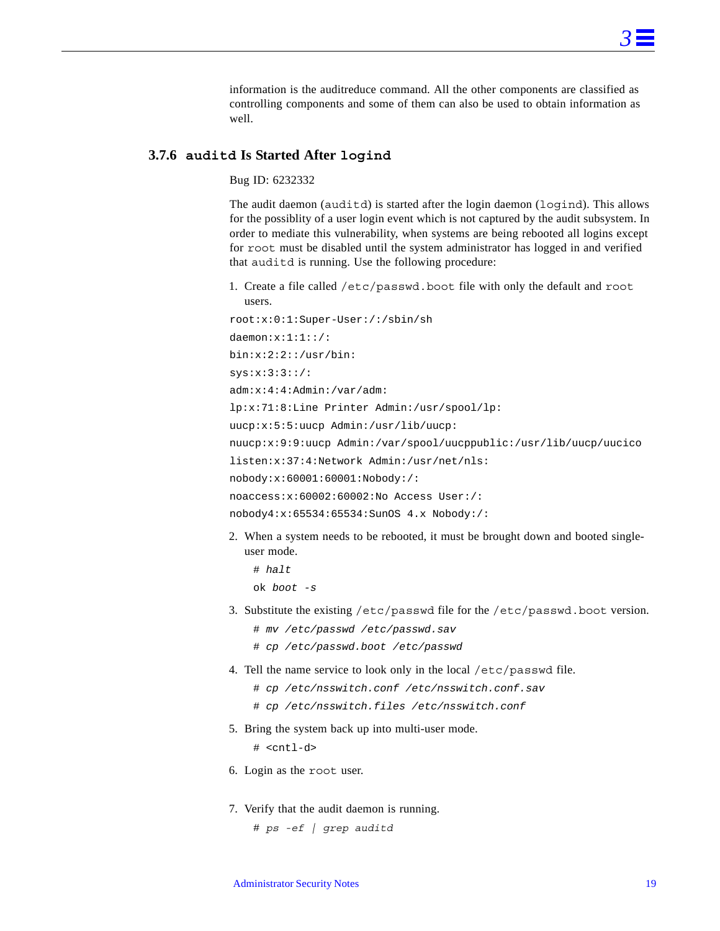information is the auditreduce command. All the other components are classified as controlling components and some of them can also be used to obtain information as well.

#### <span id="page-26-0"></span>**3.7.6 auditd Is Started After logind**

Bug ID: 6232332

The audit daemon (auditd) is started after the login daemon (logind). This allows for the possiblity of a user login event which is not captured by the audit subsystem. In order to mediate this vulnerability, when systems are being rebooted all logins except for root must be disabled until the system administrator has logged in and verified that auditd is running. Use the following procedure:

1. Create a file called /etc/passwd.boot file with only the default and root users.

root:x:0:1:Super-User:/:/sbin/sh

daemon:x:1:1::/:

bin:x:2:2::/usr/bin:

sys:x:3:3::/:

adm:x:4:4:Admin:/var/adm:

lp:x:71:8:Line Printer Admin:/usr/spool/lp:

uucp:x:5:5:uucp Admin:/usr/lib/uucp:

nuucp:x:9:9:uucp Admin:/var/spool/uucppublic:/usr/lib/uucp/uucico

listen:x:37:4:Network Admin:/usr/net/nls:

nobody:x:60001:60001:Nobody:/:

noaccess:x:60002:60002:No Access User:/:

nobody4:x:65534:65534:SunOS 4.x Nobody:/:

2. When a system needs to be rebooted, it must be brought down and booted singleuser mode.

# *halt* ok *boot -s*

3. Substitute the existing /etc/passwd file for the /etc/passwd.boot version.

# *mv /etc/passwd /etc/passwd.sav*

- # *cp /etc/passwd.boot /etc/passwd*
- 4. Tell the name service to look only in the local /etc/passwd file.
	- # *cp /etc/nsswitch.conf /etc/nsswitch.conf.sav*
	- # *cp /etc/nsswitch.files /etc/nsswitch.conf*
- 5. Bring the system back up into multi-user mode.

# <cntl-d>

- 6. Login as the root user.
- 7. Verify that the audit daemon is running. # *ps -ef | grep auditd*

*3*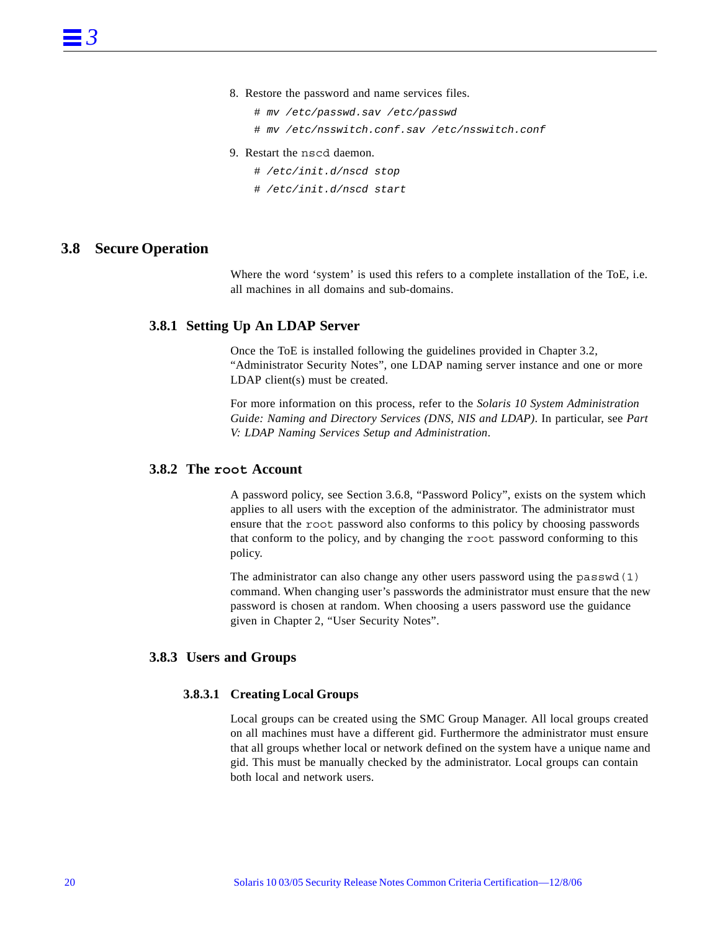- 8. Restore the password and name services files.
	- # *mv /etc/passwd.sav /etc/passwd*
	- # *mv /etc/nsswitch.conf.sav /etc/nsswitch.conf*
- 9. Restart the nscd daemon.
	- # */etc/init.d/nscd stop*
	- # */etc/init.d/nscd start*

#### <span id="page-27-1"></span><span id="page-27-0"></span>**3.8 Secure Operation**

Where the word 'system' is used this refers to a complete installation of the ToE, i.e. all machines in all domains and sub-domains.

#### **3.8.1 Setting Up An LDAP Server**

Once the ToE is installed following the guidelines provided in [Chapter 3.2,](#page-14-2)  ["Administrator Security Notes](#page-14-2)", one LDAP naming server instance and one or more LDAP client(s) must be created.

For more information on this process, refer to the *Solaris 10 System Administration Guide: Naming and Directory Services (DNS, NIS and LDAP)*. In particular, see *Part V: LDAP Naming Services Setup and Administration*.

#### <span id="page-27-2"></span>**3.8.2 The root Account**

A password policy, see [Section 3.6.8, "Password Policy](#page-20-0)", exists on the system which applies to all users with the exception of the administrator. The administrator must ensure that the root password also conforms to this policy by choosing passwords that conform to the policy, and by changing the root password conforming to this policy.

The administrator can also change any other users password using the passwd $(1)$ command. When changing user's passwords the administrator must ensure that the new password is chosen at random. When choosing a users password use the guidance given in [Chapter 2, "User Security Notes"](#page-10-4).

#### <span id="page-27-4"></span><span id="page-27-3"></span>**3.8.3 Users and Groups**

#### **3.8.3.1 Creating Local Groups**

Local groups can be created using the SMC Group Manager. All local groups created on all machines must have a different gid. Furthermore the administrator must ensure that all groups whether local or network defined on the system have a unique name and gid. This must be manually checked by the administrator. Local groups can contain both local and network users.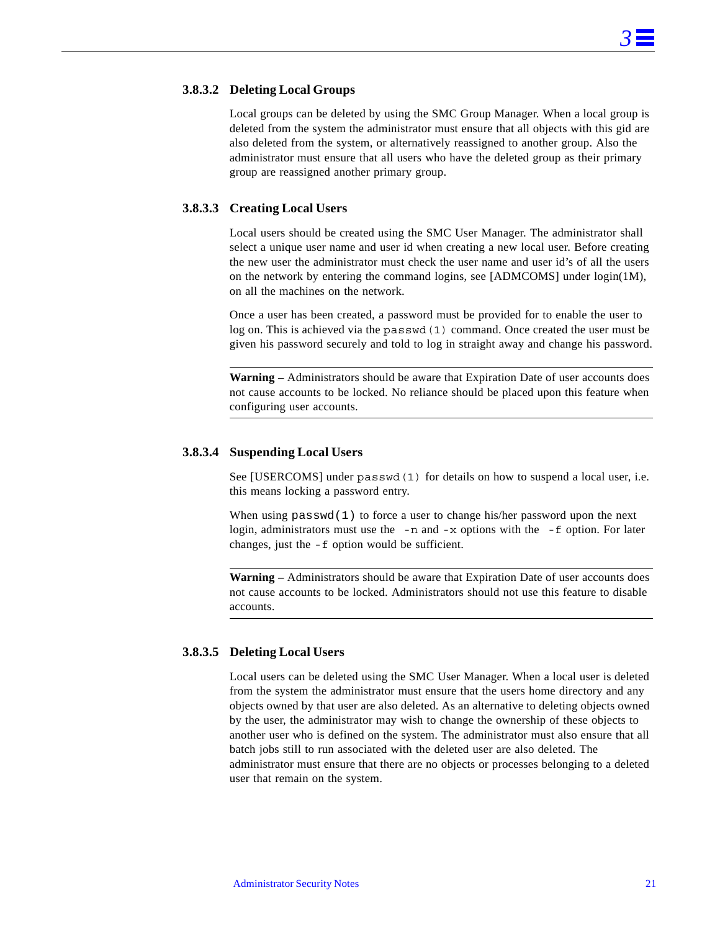#### <span id="page-28-0"></span>**3.8.3.2 Deleting Local Groups**

Local groups can be deleted by using the SMC Group Manager. When a local group is deleted from the system the administrator must ensure that all objects with this gid are also deleted from the system, or alternatively reassigned to another group. Also the administrator must ensure that all users who have the deleted group as their primary group are reassigned another primary group.

#### <span id="page-28-1"></span>**3.8.3.3 Creating Local Users**

Local users should be created using the SMC User Manager. The administrator shall select a unique user name and user id when creating a new local user. Before creating the new user the administrator must check the user name and user id's of all the users on the network by entering the command logins, see [ADMCOMS] under login(1M), on all the machines on the network.

Once a user has been created, a password must be provided for to enable the user to log on. This is achieved via the passwd(1) command. Once created the user must be given his password securely and told to log in straight away and change his password.

**Warning –** Administrators should be aware that Expiration Date of user accounts does not cause accounts to be locked. No reliance should be placed upon this feature when configuring user accounts.

#### <span id="page-28-2"></span>**3.8.3.4 Suspending Local Users**

See [USERCOMS] under passwd(1) for details on how to suspend a local user, i.e. this means locking a password entry.

When using  $passwd(1)$  to force a user to change his/her password upon the next login, administrators must use the -n and -x options with the -f option. For later changes, just the -f option would be sufficient.

**Warning –** Administrators should be aware that Expiration Date of user accounts does not cause accounts to be locked. Administrators should not use this feature to disable accounts.

#### <span id="page-28-3"></span>**3.8.3.5 Deleting Local Users**

Local users can be deleted using the SMC User Manager. When a local user is deleted from the system the administrator must ensure that the users home directory and any objects owned by that user are also deleted. As an alternative to deleting objects owned by the user, the administrator may wish to change the ownership of these objects to another user who is defined on the system. The administrator must also ensure that all batch jobs still to run associated with the deleted user are also deleted. The administrator must ensure that there are no objects or processes belonging to a deleted user that remain on the system.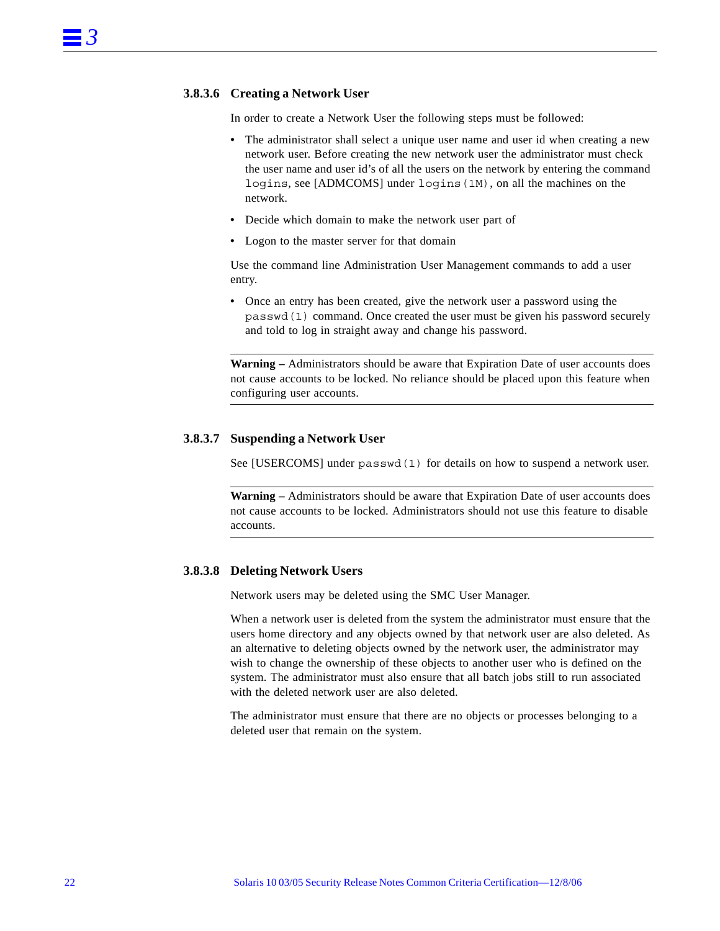#### <span id="page-29-0"></span>**3.8.3.6 Creating a Network User**

In order to create a Network User the following steps must be followed:

- **•** The administrator shall select a unique user name and user id when creating a new network user. Before creating the new network user the administrator must check the user name and user id's of all the users on the network by entering the command logins, see [ADMCOMS] under logins(1M), on all the machines on the network.
- **•** Decide which domain to make the network user part of
- **•** Logon to the master server for that domain

Use the command line Administration User Management commands to add a user entry.

**•** Once an entry has been created, give the network user a password using the passwd(1) command. Once created the user must be given his password securely and told to log in straight away and change his password.

**Warning –** Administrators should be aware that Expiration Date of user accounts does not cause accounts to be locked. No reliance should be placed upon this feature when configuring user accounts.

#### <span id="page-29-1"></span>**3.8.3.7 Suspending a Network User**

See [USERCOMS] under passwd $(1)$  for details on how to suspend a network user.

**Warning –** Administrators should be aware that Expiration Date of user accounts does not cause accounts to be locked. Administrators should not use this feature to disable accounts.

#### <span id="page-29-2"></span>**3.8.3.8 Deleting Network Users**

Network users may be deleted using the SMC User Manager.

When a network user is deleted from the system the administrator must ensure that the users home directory and any objects owned by that network user are also deleted. As an alternative to deleting objects owned by the network user, the administrator may wish to change the ownership of these objects to another user who is defined on the system. The administrator must also ensure that all batch jobs still to run associated with the deleted network user are also deleted.

The administrator must ensure that there are no objects or processes belonging to a deleted user that remain on the system.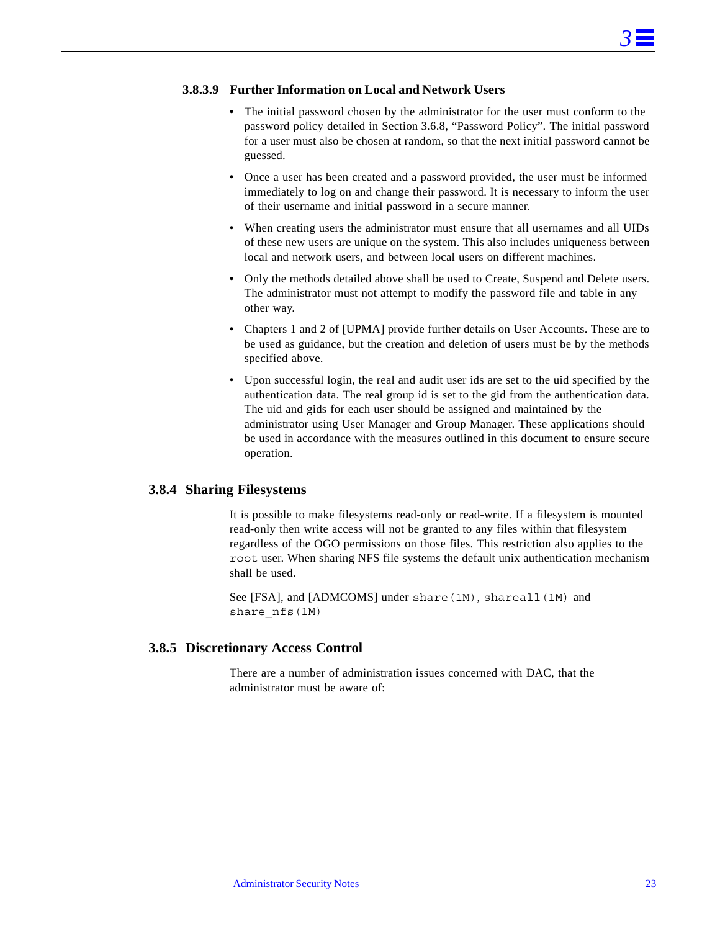#### <span id="page-30-0"></span>**3.8.3.9 Further Information on Local and Network Users**

- **•** The initial password chosen by the administrator for the user must conform to the password policy detailed in [Section 3.6.8, "Password Policy](#page-20-0)". The initial password for a user must also be chosen at random, so that the next initial password cannot be guessed.
- **•** Once a user has been created and a password provided, the user must be informed immediately to log on and change their password. It is necessary to inform the user of their username and initial password in a secure manner.
- **•** When creating users the administrator must ensure that all usernames and all UIDs of these new users are unique on the system. This also includes uniqueness between local and network users, and between local users on different machines.
- **•** Only the methods detailed above shall be used to Create, Suspend and Delete users. The administrator must not attempt to modify the password file and table in any other way.
- **•** Chapters 1 and 2 of [UPMA] provide further details on User Accounts. These are to be used as guidance, but the creation and deletion of users must be by the methods specified above.
- **•** Upon successful login, the real and audit user ids are set to the uid specified by the authentication data. The real group id is set to the gid from the authentication data. The uid and gids for each user should be assigned and maintained by the administrator using User Manager and Group Manager. These applications should be used in accordance with the measures outlined in this document to ensure secure operation.

#### <span id="page-30-1"></span>**3.8.4 Sharing Filesystems**

It is possible to make filesystems read-only or read-write. If a filesystem is mounted read-only then write access will not be granted to any files within that filesystem regardless of the OGO permissions on those files. This restriction also applies to the root user. When sharing NFS file systems the default unix authentication mechanism shall be used.

See [FSA], and [ADMCOMS] under share(1M), shareall(1M) and share\_nfs(1M)

#### <span id="page-30-2"></span>**3.8.5 Discretionary Access Control**

There are a number of administration issues concerned with DAC, that the administrator must be aware of: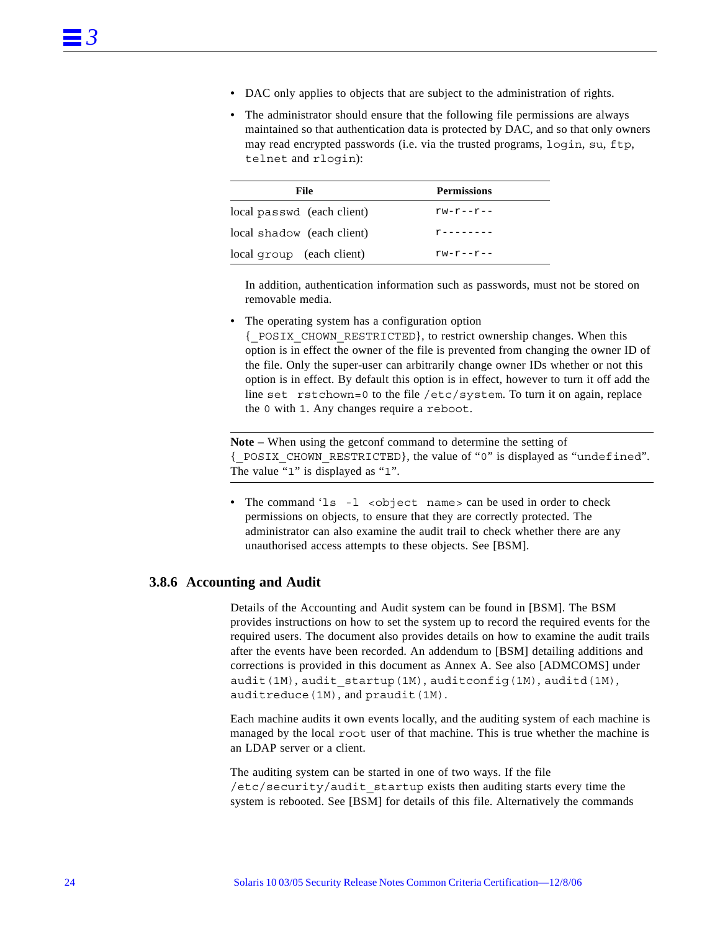- DAC only applies to objects that are subject to the administration of rights.
- **•** The administrator should ensure that the following file permissions are always maintained so that authentication data is protected by DAC, and so that only owners may read encrypted passwords (i.e. via the trusted programs, login, su, ftp, telnet and rlogin):

| File                       | <b>Permissions</b>  |  |  |
|----------------------------|---------------------|--|--|
| local passwd (each client) | $rw-r--r--$         |  |  |
| local shadow (each client) | $r - - - - - - - -$ |  |  |
| local group (each client)  | $rw-r--r--$         |  |  |

In addition, authentication information such as passwords, must not be stored on removable media.

**•** The operating system has a configuration option

{\_POSIX\_CHOWN\_RESTRICTED}, to restrict ownership changes. When this option is in effect the owner of the file is prevented from changing the owner ID of the file. Only the super-user can arbitrarily change owner IDs whether or not this option is in effect. By default this option is in effect, however to turn it off add the line set rstchown=0 to the file /etc/system. To turn it on again, replace the 0 with 1. Any changes require a reboot.

**Note –** When using the getconf command to determine the setting of {\_POSIX\_CHOWN\_RESTRICTED}, the value of "0" is displayed as "undefined". The value "1" is displayed as "1".

• The command '1s -1 <object name> can be used in order to check permissions on objects, to ensure that they are correctly protected. The administrator can also examine the audit trail to check whether there are any unauthorised access attempts to these objects. See [BSM].

#### <span id="page-31-0"></span>**3.8.6 Accounting and Audit**

Details of the Accounting and Audit system can be found in [BSM]. The BSM provides instructions on how to set the system up to record the required events for the required users. The document also provides details on how to examine the audit trails after the events have been recorded. An addendum to [BSM] detailing additions and corrections is provided in this document as Annex A. See also [ADMCOMS] under audit(1M), audit startup(1M), auditconfig(1M), auditd(1M), auditreduce(1M), and praudit(1M).

Each machine audits it own events locally, and the auditing system of each machine is managed by the local root user of that machine. This is true whether the machine is an LDAP server or a client.

The auditing system can be started in one of two ways. If the file /etc/security/audit\_startup exists then auditing starts every time the system is rebooted. See [BSM] for details of this file. Alternatively the commands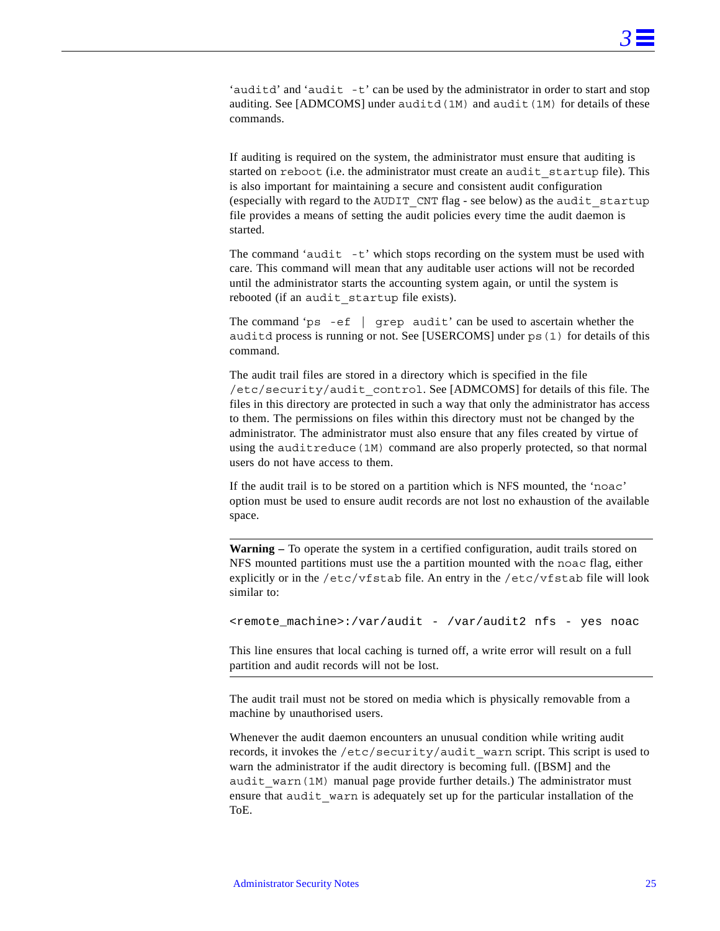'auditd' and 'audit -t' can be used by the administrator in order to start and stop auditing. See [ADMCOMS] under auditd(1M) and audit(1M) for details of these commands.

If auditing is required on the system, the administrator must ensure that auditing is started on reboot (i.e. the administrator must create an audit startup file). This is also important for maintaining a secure and consistent audit configuration (especially with regard to the AUDIT\_CNT flag - see below) as the audit\_startup file provides a means of setting the audit policies every time the audit daemon is started.

The command 'audit  $-t$ ' which stops recording on the system must be used with care. This command will mean that any auditable user actions will not be recorded until the administrator starts the accounting system again, or until the system is rebooted (if an audit startup file exists).

The command 'ps -ef | grep audit' can be used to ascertain whether the auditd process is running or not. See [USERCOMS] under ps(1) for details of this command.

The audit trail files are stored in a directory which is specified in the file /etc/security/audit\_control. See [ADMCOMS] for details of this file. The files in this directory are protected in such a way that only the administrator has access to them. The permissions on files within this directory must not be changed by the administrator. The administrator must also ensure that any files created by virtue of using the auditreduce(1M) command are also properly protected, so that normal users do not have access to them.

If the audit trail is to be stored on a partition which is NFS mounted, the 'noac' option must be used to ensure audit records are not lost no exhaustion of the available space.

**Warning –** To operate the system in a certified configuration, audit trails stored on NFS mounted partitions must use the a partition mounted with the noac flag, either explicitly or in the /etc/vfstab file. An entry in the /etc/vfstab file will look similar to:

```
<remote_machine>:/var/audit - /var/audit2 nfs - yes noac
```
This line ensures that local caching is turned off, a write error will result on a full partition and audit records will not be lost.

The audit trail must not be stored on media which is physically removable from a machine by unauthorised users.

Whenever the audit daemon encounters an unusual condition while writing audit records, it invokes the /etc/security/audit\_warn script. This script is used to warn the administrator if the audit directory is becoming full. ([BSM] and the audit warn(1M) manual page provide further details.) The administrator must ensure that audit warn is adequately set up for the particular installation of the ToE.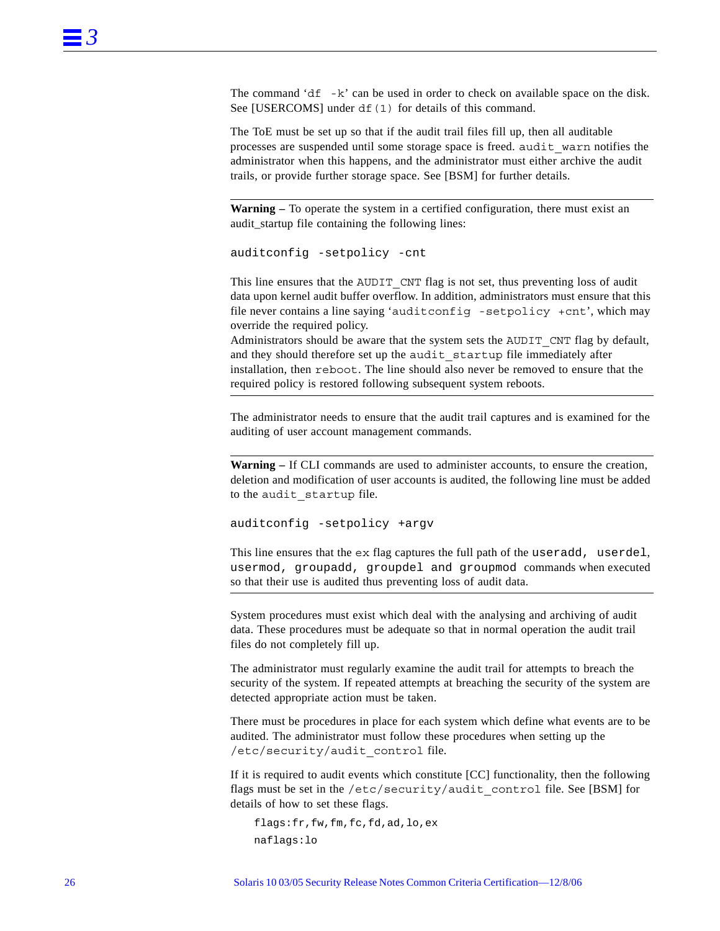The command 'df  $-k$ ' can be used in order to check on available space on the disk. See [USERCOMS] under df(1) for details of this command.

The ToE must be set up so that if the audit trail files fill up, then all auditable processes are suspended until some storage space is freed. audit\_warn notifies the administrator when this happens, and the administrator must either archive the audit trails, or provide further storage space. See [BSM] for further details.

**Warning –** To operate the system in a certified configuration, there must exist an audit\_startup file containing the following lines:

auditconfig -setpolicy -cnt

This line ensures that the AUDIT\_CNT flag is not set, thus preventing loss of audit data upon kernel audit buffer overflow. In addition, administrators must ensure that this file never contains a line saying 'auditconfig -setpolicy +cnt', which may override the required policy.

Administrators should be aware that the system sets the AUDIT\_CNT flag by default, and they should therefore set up the audit startup file immediately after installation, then reboot. The line should also never be removed to ensure that the required policy is restored following subsequent system reboots.

The administrator needs to ensure that the audit trail captures and is examined for the auditing of user account management commands.

**Warning –** If CLI commands are used to administer accounts, to ensure the creation, deletion and modification of user accounts is audited, the following line must be added to the audit startup file.

auditconfig -setpolicy +argv

This line ensures that the ex flag captures the full path of the useradd, userdel, usermod, groupadd, groupdel and groupmod commands when executed so that their use is audited thus preventing loss of audit data.

System procedures must exist which deal with the analysing and archiving of audit data. These procedures must be adequate so that in normal operation the audit trail files do not completely fill up.

The administrator must regularly examine the audit trail for attempts to breach the security of the system. If repeated attempts at breaching the security of the system are detected appropriate action must be taken.

There must be procedures in place for each system which define what events are to be audited. The administrator must follow these procedures when setting up the /etc/security/audit\_control file.

If it is required to audit events which constitute [CC] functionality, then the following flags must be set in the /etc/security/audit\_control file. See [BSM] for details of how to set these flags.

flags:fr,fw,fm,fc,fd,ad,lo,ex naflags:lo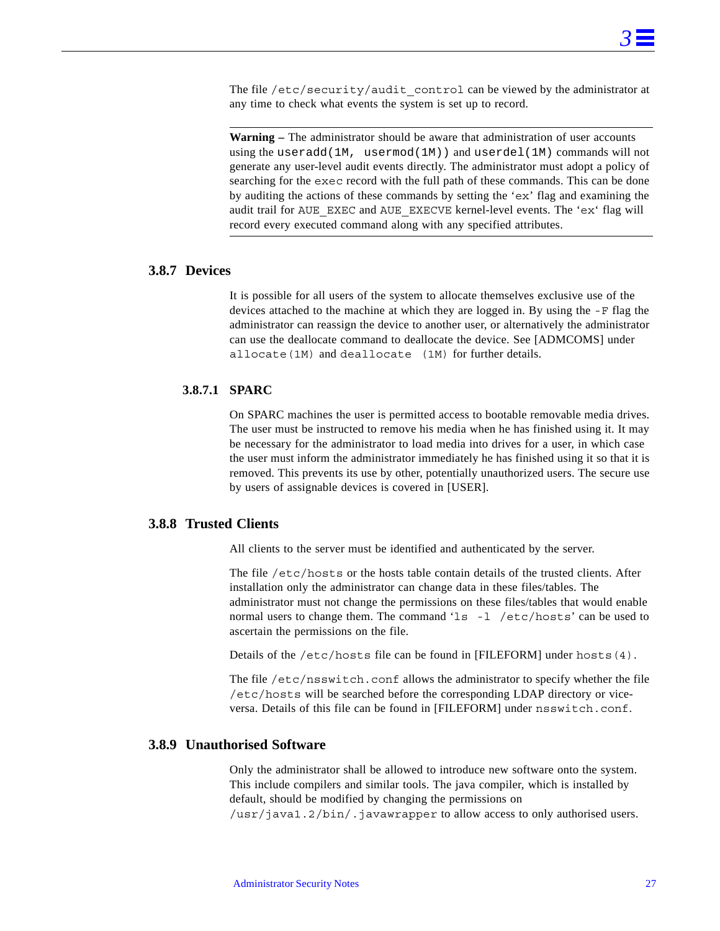The file  $/etc/security/audit$  control can be viewed by the administrator at any time to check what events the system is set up to record.

**Warning –** The administrator should be aware that administration of user accounts using the useradd(1M, usermod(1M)) and userdel(1M) commands will not generate any user-level audit events directly. The administrator must adopt a policy of searching for the exec record with the full path of these commands. This can be done by auditing the actions of these commands by setting the 'ex' flag and examining the audit trail for AUE\_EXEC and AUE\_EXECVE kernel-level events. The 'ex' flag will record every executed command along with any specified attributes.

#### <span id="page-34-0"></span>**3.8.7 Devices**

It is possible for all users of the system to allocate themselves exclusive use of the devices attached to the machine at which they are logged in. By using the -F flag the administrator can reassign the device to another user, or alternatively the administrator can use the deallocate command to deallocate the device. See [ADMCOMS] under allocate(1M) and deallocate (1M) for further details.

#### <span id="page-34-1"></span>**3.8.7.1 SPARC**

On SPARC machines the user is permitted access to bootable removable media drives. The user must be instructed to remove his media when he has finished using it. It may be necessary for the administrator to load media into drives for a user, in which case the user must inform the administrator immediately he has finished using it so that it is removed. This prevents its use by other, potentially unauthorized users. The secure use by users of assignable devices is covered in [USER].

#### <span id="page-34-2"></span>**3.8.8 Trusted Clients**

All clients to the server must be identified and authenticated by the server.

The file /etc/hosts or the hosts table contain details of the trusted clients. After installation only the administrator can change data in these files/tables. The administrator must not change the permissions on these files/tables that would enable normal users to change them. The command ' $\text{ls}$  -1 /etc/hosts' can be used to ascertain the permissions on the file.

Details of the /etc/hosts file can be found in [FILEFORM] under hosts(4).

The file /etc/nsswitch.conf allows the administrator to specify whether the file /etc/hosts will be searched before the corresponding LDAP directory or viceversa. Details of this file can be found in [FILEFORM] under nsswitch.conf.

#### <span id="page-34-3"></span>**3.8.9 Unauthorised Software**

Only the administrator shall be allowed to introduce new software onto the system. This include compilers and similar tools. The java compiler, which is installed by default, should be modified by changing the permissions on /usr/java1.2/bin/.javawrapper to allow access to only authorised users.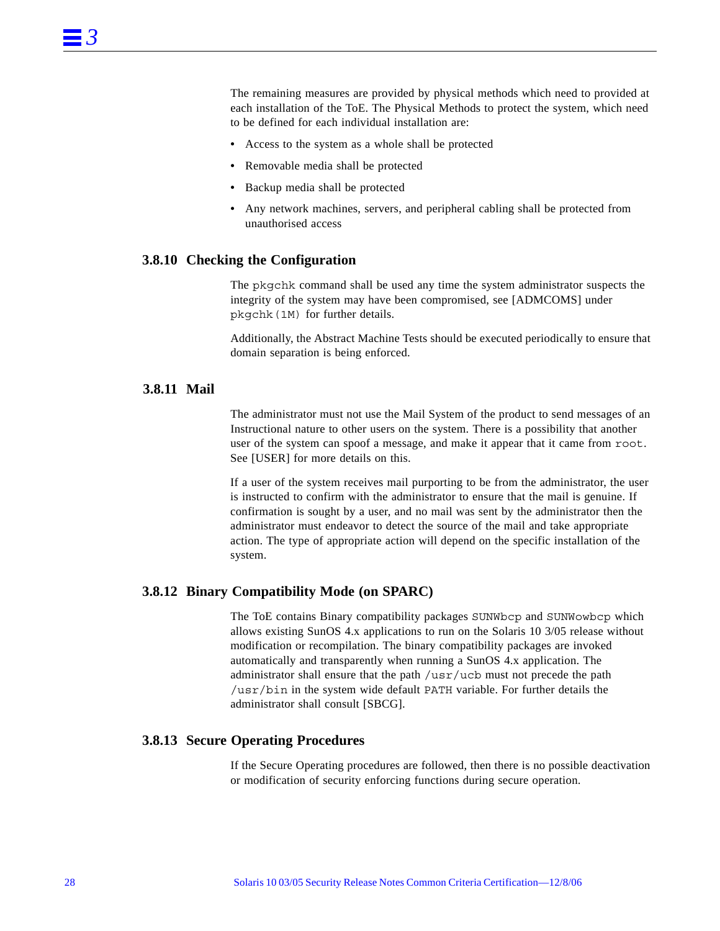The remaining measures are provided by physical methods which need to provided at each installation of the ToE. The Physical Methods to protect the system, which need to be defined for each individual installation are:

- **•** Access to the system as a whole shall be protected
- **•** Removable media shall be protected
- **•** Backup media shall be protected
- **•** Any network machines, servers, and peripheral cabling shall be protected from unauthorised access

#### <span id="page-35-0"></span>**3.8.10 Checking the Configuration**

The pkgchk command shall be used any time the system administrator suspects the integrity of the system may have been compromised, see [ADMCOMS] under pkgchk(1M) for further details.

Additionally, the Abstract Machine Tests should be executed periodically to ensure that domain separation is being enforced.

#### <span id="page-35-1"></span>**3.8.11 Mail**

The administrator must not use the Mail System of the product to send messages of an Instructional nature to other users on the system. There is a possibility that another user of the system can spoof a message, and make it appear that it came from root. See [USER] for more details on this.

If a user of the system receives mail purporting to be from the administrator, the user is instructed to confirm with the administrator to ensure that the mail is genuine. If confirmation is sought by a user, and no mail was sent by the administrator then the administrator must endeavor to detect the source of the mail and take appropriate action. The type of appropriate action will depend on the specific installation of the system.

#### <span id="page-35-2"></span>**3.8.12 Binary Compatibility Mode (on SPARC)**

The ToE contains Binary compatibility packages SUNWbcp and SUNWowbcp which allows existing SunOS 4.x applications to run on the Solaris 10 3/05 release without modification or recompilation. The binary compatibility packages are invoked automatically and transparently when running a SunOS 4.x application. The administrator shall ensure that the path  $/\text{usr}/\text{ucb}$  must not precede the path /usr/bin in the system wide default PATH variable. For further details the administrator shall consult [SBCG].

#### <span id="page-35-3"></span>**3.8.13 Secure Operating Procedures**

If the Secure Operating procedures are followed, then there is no possible deactivation or modification of security enforcing functions during secure operation.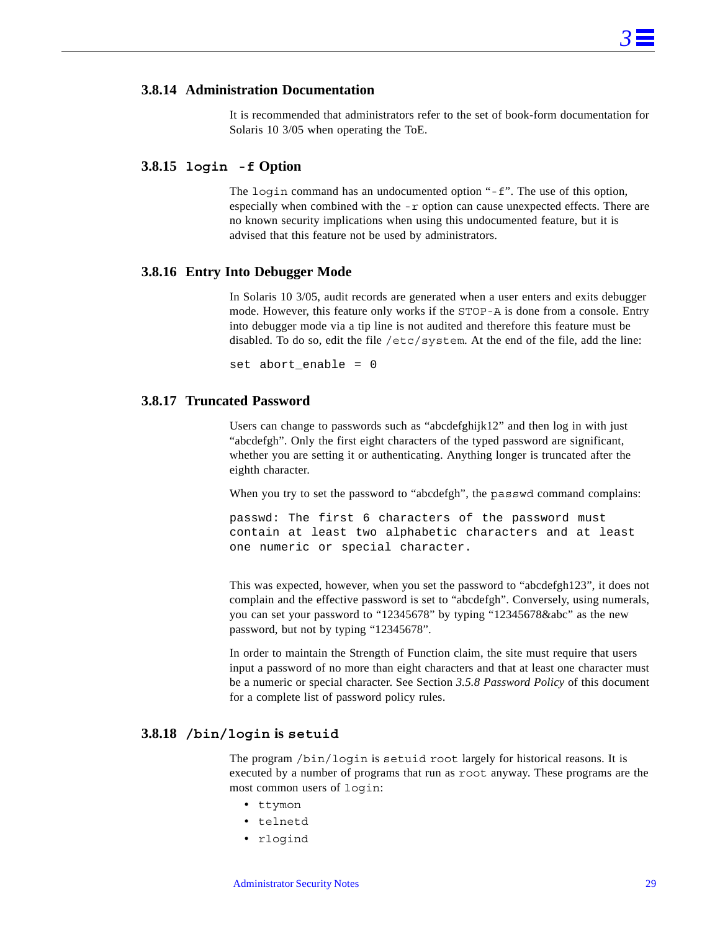#### <span id="page-36-0"></span>**3.8.14 Administration Documentation**

It is recommended that administrators refer to the set of book-form documentation for Solaris 10 3/05 when operating the ToE.

#### <span id="page-36-1"></span>**3.8.15 login -f Option**

The login command has an undocumented option "-f". The use of this option, especially when combined with the -r option can cause unexpected effects. There are no known security implications when using this undocumented feature, but it is advised that this feature not be used by administrators.

#### <span id="page-36-2"></span>**3.8.16 Entry Into Debugger Mode**

In Solaris 10 3/05, audit records are generated when a user enters and exits debugger mode. However, this feature only works if the STOP-A is done from a console. Entry into debugger mode via a tip line is not audited and therefore this feature must be disabled. To do so, edit the file /etc/system. At the end of the file, add the line:

set abort enable =  $0$ 

#### <span id="page-36-3"></span>**3.8.17 Truncated Password**

Users can change to passwords such as "abcdefghijk12" and then log in with just "abcdefgh". Only the first eight characters of the typed password are significant, whether you are setting it or authenticating. Anything longer is truncated after the eighth character.

When you try to set the password to "abcdefgh", the passwd command complains:

passwd: The first 6 characters of the password must contain at least two alphabetic characters and at least one numeric or special character.

This was expected, however, when you set the password to "abcdefgh123", it does not complain and the effective password is set to "abcdefgh". Conversely, using numerals, you can set your password to "12345678" by typing "12345678&abc" as the new password, but not by typing "12345678".

In order to maintain the Strength of Function claim, the site must require that users input a password of no more than eight characters and that at least one character must be a numeric or special character. See Section *3.5.8 Password Policy* of this document for a complete list of password policy rules.

#### <span id="page-36-4"></span>**3.8.18 /bin/login is setuid**

The program /bin/login is setuid root largely for historical reasons. It is executed by a number of programs that run as root anyway. These programs are the most common users of login:

- **•** ttymon
- **•** telnetd
- **•** rlogind

*3*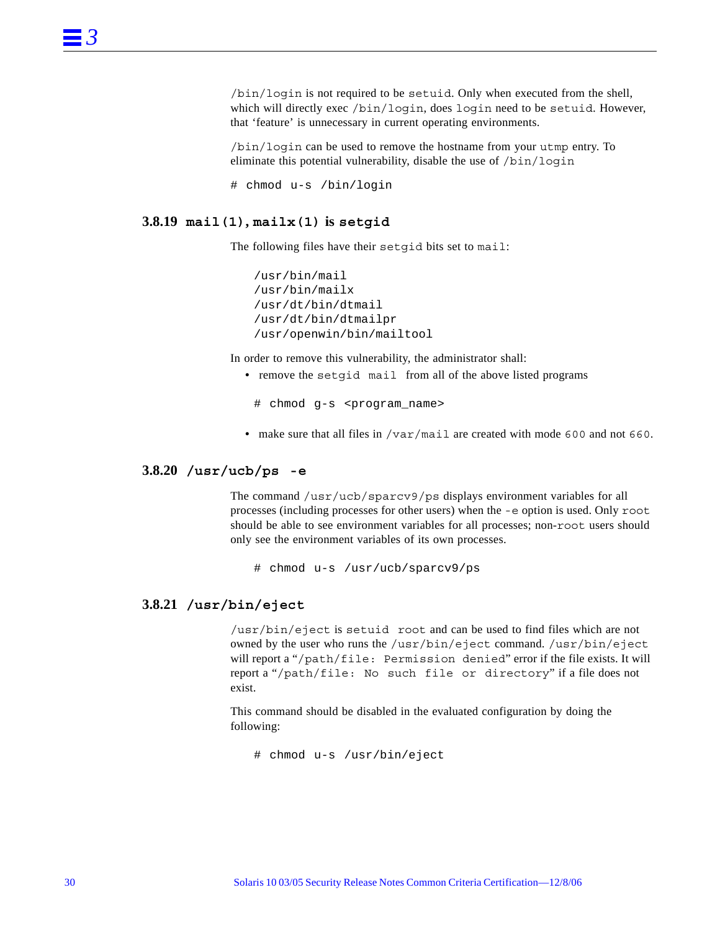/bin/login is not required to be setuid. Only when executed from the shell, which will directly exec /bin/login, does login need to be setuid. However, that 'feature' is unnecessary in current operating environments.

/bin/login can be used to remove the hostname from your utmp entry. To eliminate this potential vulnerability, disable the use of /bin/login

```
# chmod u-s /bin/login
```
#### <span id="page-37-0"></span>**3.8.19 mail(1), mailx(1) is setgid**

The following files have their setgid bits set to mail:

```
/usr/bin/mail
/usr/bin/mailx
/usr/dt/bin/dtmail
/usr/dt/bin/dtmailpr
/usr/openwin/bin/mailtool
```
In order to remove this vulnerability, the administrator shall:

**•** remove the setgid mail from all of the above listed programs

# chmod g-s <program\_name>

• make sure that all files in /var/mail are created with mode 600 and not 660.

#### <span id="page-37-1"></span>**3.8.20 /usr/ucb/ps -e**

The command /usr/ucb/sparcv9/ps displays environment variables for all processes (including processes for other users) when the -e option is used. Only root should be able to see environment variables for all processes; non-root users should only see the environment variables of its own processes.

# chmod u-s /usr/ucb/sparcv9/ps

#### <span id="page-37-2"></span>**3.8.21 /usr/bin/eject**

/usr/bin/eject is setuid root and can be used to find files which are not owned by the user who runs the /usr/bin/eject command. /usr/bin/eject will report a "/path/file: Permission denied" error if the file exists. It will report a "/path/file: No such file or directory" if a file does not exist.

This command should be disabled in the evaluated configuration by doing the following:

# chmod u-s /usr/bin/eject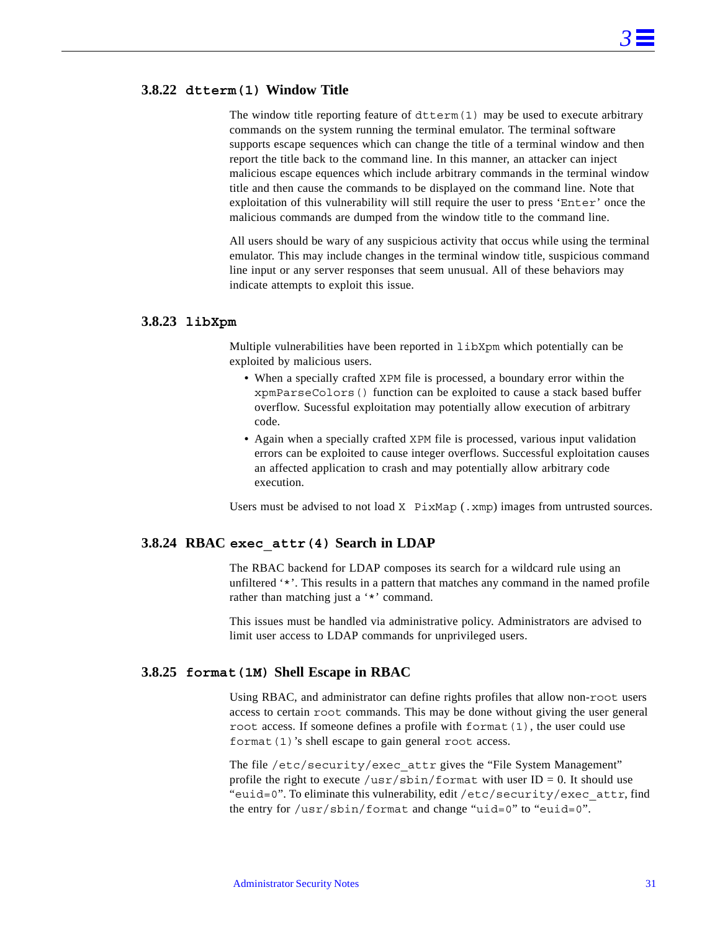#### <span id="page-38-0"></span>**3.8.22 dtterm(1) Window Title**

The window title reporting feature of  $d$ tterm $(1)$  may be used to execute arbitrary commands on the system running the terminal emulator. The terminal software supports escape sequences which can change the title of a terminal window and then report the title back to the command line. In this manner, an attacker can inject malicious escape equences which include arbitrary commands in the terminal window title and then cause the commands to be displayed on the command line. Note that exploitation of this vulnerability will still require the user to press 'Enter' once the malicious commands are dumped from the window title to the command line.

All users should be wary of any suspicious activity that occus while using the terminal emulator. This may include changes in the terminal window title, suspicious command line input or any server responses that seem unusual. All of these behaviors may indicate attempts to exploit this issue.

#### <span id="page-38-1"></span>**3.8.23 libXpm**

Multiple vulnerabilities have been reported in libXpm which potentially can be exploited by malicious users.

- **•** When a specially crafted XPM file is processed, a boundary error within the xpmParseColors() function can be exploited to cause a stack based buffer overflow. Sucessful exploitation may potentially allow execution of arbitrary code.
- **•** Again when a specially crafted XPM file is processed, various input validation errors can be exploited to cause integer overflows. Successful exploitation causes an affected application to crash and may potentially allow arbitrary code execution.

Users must be advised to not load  $X$  PixMap (.xmp) images from untrusted sources.

#### <span id="page-38-2"></span>**3.8.24 RBAC exec\_attr(4) Search in LDAP**

The RBAC backend for LDAP composes its search for a wildcard rule using an unfiltered '\*'. This results in a pattern that matches any command in the named profile rather than matching just a '\*' command.

This issues must be handled via administrative policy. Administrators are advised to limit user access to LDAP commands for unprivileged users.

#### <span id="page-38-3"></span>**3.8.25 format(1M) Shell Escape in RBAC**

Using RBAC, and administrator can define rights profiles that allow non-root users access to certain root commands. This may be done without giving the user general root access. If someone defines a profile with  $format(1)$ , the user could use format(1)'s shell escape to gain general root access.

The file /etc/security/exec attr gives the "File System Management" profile the right to execute /usr/sbin/format with user ID = 0. It should use "euid=0". To eliminate this vulnerability, edit /etc/security/exec\_attr, find the entry for /usr/sbin/format and change "uid=0" to "euid=0".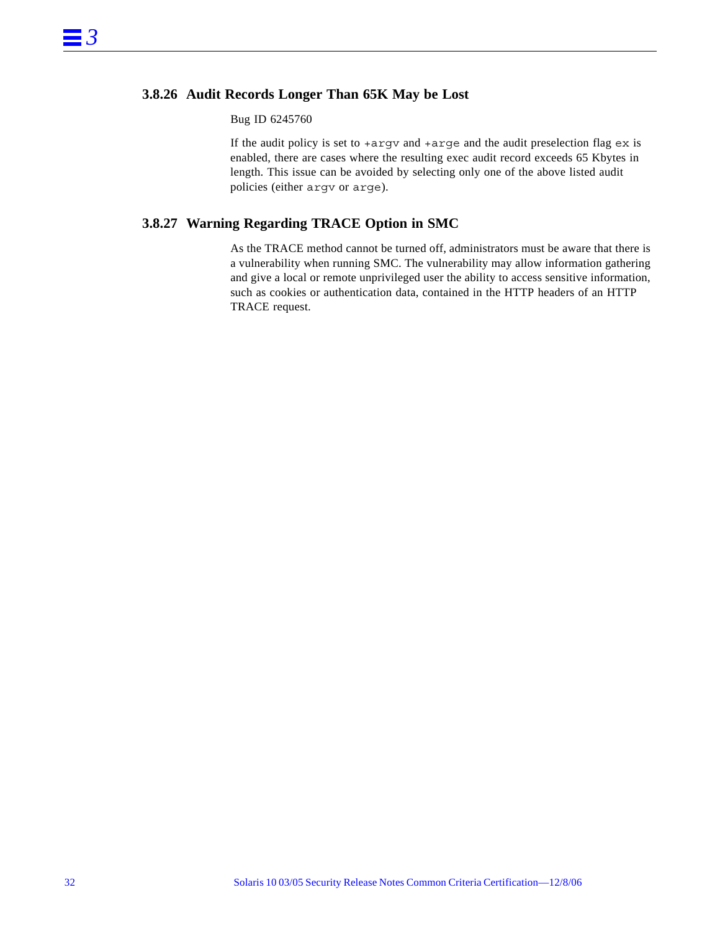#### <span id="page-39-0"></span>**3.8.26 Audit Records Longer Than 65K May be Lost**

#### Bug ID 6245760

If the audit policy is set to +argv and +arge and the audit preselection flag ex is enabled, there are cases where the resulting exec audit record exceeds 65 Kbytes in length. This issue can be avoided by selecting only one of the above listed audit policies (either argv or arge).

#### <span id="page-39-1"></span>**3.8.27 Warning Regarding TRACE Option in SMC**

As the TRACE method cannot be turned off, administrators must be aware that there is a vulnerability when running SMC. The vulnerability may allow information gathering and give a local or remote unprivileged user the ability to access sensitive information, such as cookies or authentication data, contained in the HTTP headers of an HTTP TRACE request.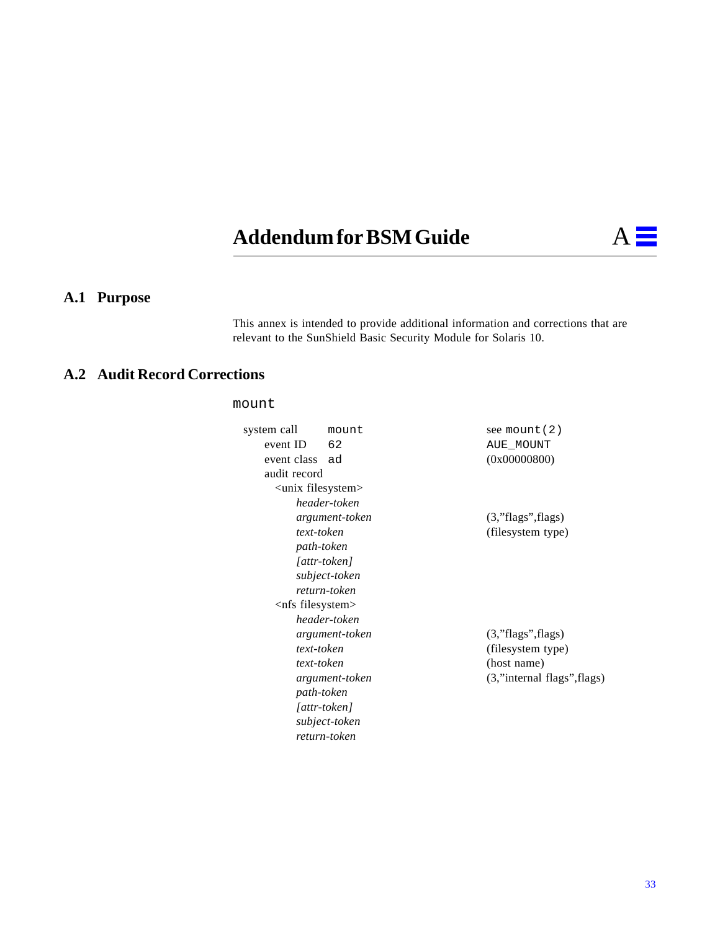# Addendum for BSM Guide **A** A

## <span id="page-40-1"></span><span id="page-40-0"></span>**A.1 Purpose**

This annex is intended to provide additional information and corrections that are relevant to the SunShield Basic Security Module for Solaris 10.

# <span id="page-40-2"></span>**A.2 Audit Record Corrections**

mount

| system call               | mount                       | see mount $(2)$             |
|---------------------------|-----------------------------|-----------------------------|
| event ID                  | 62                          | AUE MOUNT                   |
| event class ad            |                             | (0x00000800)                |
| audit record              |                             |                             |
|                           | <unix filesystem=""></unix> |                             |
|                           | header-token                |                             |
|                           | argument-token              | $(3,"$ flags", flags)       |
| text-token                |                             | (filesystem type)           |
|                           | path-token                  |                             |
|                           | [attr-token]                |                             |
|                           | subject-token               |                             |
|                           | return-token                |                             |
| <nfs filesystem=""></nfs> |                             |                             |
|                           | header-token                |                             |
| argument-token            |                             | (3,'flags', flags)          |
|                           | text-token                  | (filesystem type)           |
|                           | text-token                  | (host name)                 |
|                           | argument-token              | (3,"internal flags", flags) |
|                           | path-token                  |                             |
|                           | [attr-token]                |                             |
|                           | subject-token               |                             |
|                           | return-token                |                             |
|                           |                             |                             |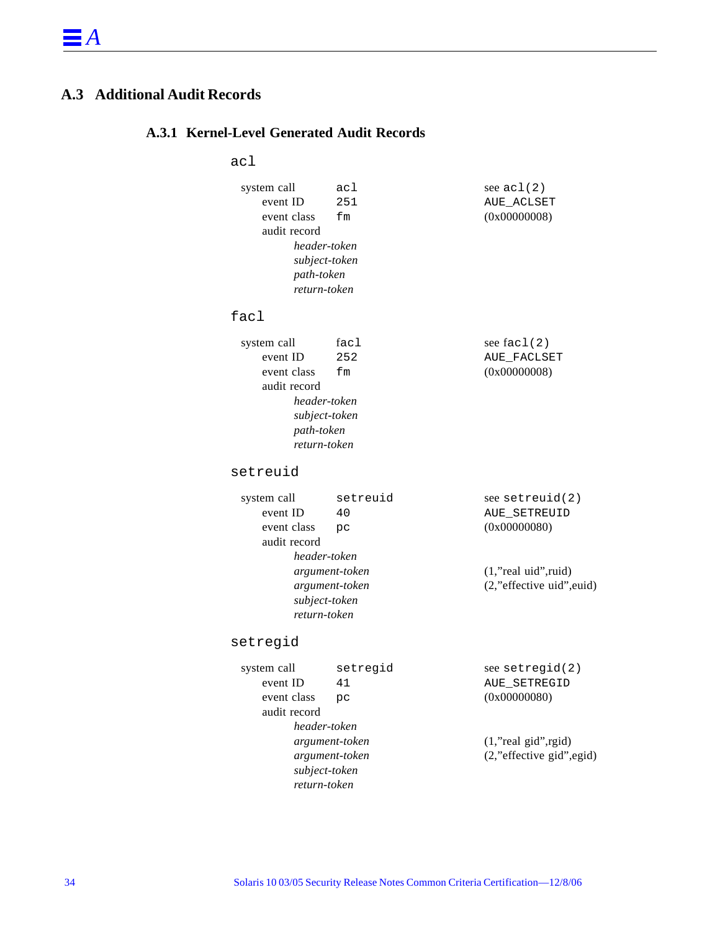# <span id="page-41-1"></span><span id="page-41-0"></span>**A.3 Additional Audit Records**

## **A.3.1 Kernel-Level Generated Audit Records**

| ac1<br>251<br>fm     | see $acl(2)$<br>AUE_ACLSET<br>(0x00000008)                                                                                                                                                                                                                                                           |
|----------------------|------------------------------------------------------------------------------------------------------------------------------------------------------------------------------------------------------------------------------------------------------------------------------------------------------|
|                      |                                                                                                                                                                                                                                                                                                      |
| facl<br>252<br>fm    | see $fac1(2)$<br>AUE_FACLSET<br>(0x00000008)                                                                                                                                                                                                                                                         |
|                      |                                                                                                                                                                                                                                                                                                      |
| setreuid<br>40<br>pc | see setreuid $(2)$<br>AUE_SETREUID<br>(0x00000080)<br>$(1, 'real$ uid", ruid)                                                                                                                                                                                                                        |
|                      | (2,"effective uid", euid)                                                                                                                                                                                                                                                                            |
|                      |                                                                                                                                                                                                                                                                                                      |
| setregid<br>41<br>pc | see $setregid(2)$<br>AUE_SETREGID<br>(0x00000080)                                                                                                                                                                                                                                                    |
|                      | $(1, 'real$ gid", rgid)<br>(2,"effective gid", egid)                                                                                                                                                                                                                                                 |
|                      | header-token<br>subject-token<br>path-token<br>return-token<br>header-token<br>subject-token<br>path-token<br>return-token<br>header-token<br>argument-token<br>argument-token<br>subject-token<br>return-token<br>header-token<br>argument-token<br>argument-token<br>subject-token<br>return-token |